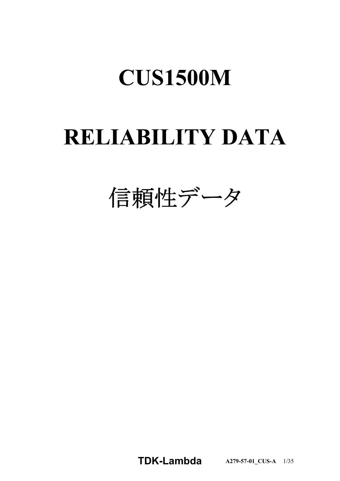# **RELIABILITY DATA**

信頼性データ

**TDKLambda A2795701\_CUSA** 1/35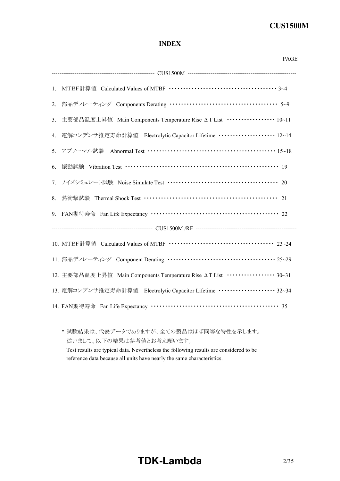### **INDEX**

|    | PAGE                                                                                                                                                                                           |
|----|------------------------------------------------------------------------------------------------------------------------------------------------------------------------------------------------|
|    |                                                                                                                                                                                                |
|    |                                                                                                                                                                                                |
|    | 2. 部品ディレーティング Components Derating ………………………………………… 5~9                                                                                                                                         |
| 3. | 主要部品温度上昇值 Main Components Temperature Rise ΔT List ················ 10~11                                                                                                                      |
|    | 4. 電解コンデンサ推定寿命計算値 Electrolytic Capacitor Lifetime ··················· 12~14                                                                                                                    |
|    | Abnormal Test $\cdots$ $\cdots$ $\cdots$ $\cdots$ $\cdots$ $\cdots$ $\cdots$ $\cdots$ $\cdots$ $\cdots$ $\cdots$ $\cdots$ $\cdots$ $\cdots$ $\cdots$ $\cdots$ $\cdots$ $\cdots$<br>5. アブノーマル試験 |
| 6. | 振動試験 Vibration Test ………………………………………………………… 19                                                                                                                                                  |
|    | 7. ノイズシミュレート試験 Noise Simulate Test …………………………………………… 20                                                                                                                                        |
|    |                                                                                                                                                                                                |
|    | 9. FAN期待寿命 Fan Life Expectancy ……………………………………………… 22                                                                                                                                           |
|    |                                                                                                                                                                                                |
|    |                                                                                                                                                                                                |
|    | 11. 部品ディレーティング Component Derating ……………………………………… 25~29                                                                                                                                        |
|    | 12. 主要部品温度上昇值 Main Components Temperature Rise ΔT List ················· 30~31                                                                                                                 |
|    | 13. 電解コンデンサ推定寿命計算値 Electrolytic Capacitor Lifetime ···················· 32~34                                                                                                                  |
|    | 14. FAN期待寿命 Fan Life Expectancy ……………………………………………… 35                                                                                                                                          |

\* 試験結果は、代表データでありますが、全ての製品はほぼ同等な特性を示します。 従いまして、以下の結果は参考値とお考え願います。 Test results are typical data. Nevertheless the following results are considered to be reference data because all units have nearly the same characteristics.

# **TDK-Lambda**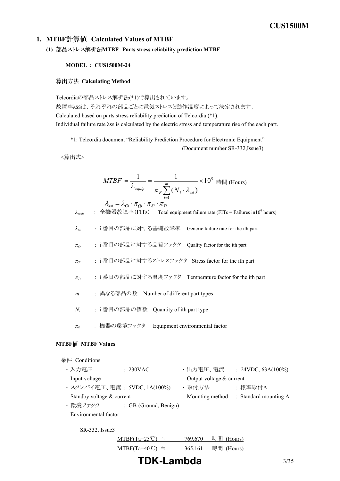#### **1. MTBF Calculated Values of MTBF**

**(1) MTBF Parts stress reliability prediction MTBF**

#### **MODEL : CUS1500M-24**

#### **算出方法 Calculating Method**

Telcordiaの部品ストレス解析法(\*1)で算出されています。 故障率λSSは、それぞれの部品ごとに電気ストレスと動作温度によって決定されます。 Calculated based on parts stress reliability prediction of Telcordia (\*1). Individual failure rate λss is calculated by the electric stress and temperature rise of the each part.

\*1: Telcordia document "Reliability Prediction Procedure for Electronic Equipment"

(Document number SR-332, Issue3)

<算出式>

$$
MTBF = \frac{1}{\lambda_{\text{equip}}} = \frac{1}{\pi_E \sum_{i=1}^{m} (N_i \cdot \lambda_{\text{ssi}})} \times 10^9 \text{ H} \text{m (Hours)}
$$

*λequip* : 全機器故障率(FITs) Total equipment failure rate (FITs = Failures in10<sup>9</sup> hours) *λGi* : i 番目の部品に対する基礎故障率 Generic failure rate for the ith part *πQi* : i 番目の部品に対する品質ファクタ Quality factor for the ith part *πSi* : i 番目の部品に対するストレスファクタ Stress factor for the ith part *πTi* : i 番目の部品に対する温度ファクタ Temperature factor for the ith part *m* : 異なる部品の数 Number of different part types *N<sup>i</sup>* : i 番目の部品の個数 Quantity of ith part type *π<sup>E</sup>* : 機器の環境ファクタ Equipment environmental factor  $\lambda_{\scriptscriptstyle{ssi}} = \lambda_{\scriptscriptstyle{Gi}} \cdot \pi_{\scriptscriptstyle{Qi}} \cdot \pi_{\scriptscriptstyle{Si}} \cdot \pi_{\scriptscriptstyle{Ti}}$ 

### **MTBF MTBF Values**

| 条件 Conditions             |                              |          |                          |         |                                       |
|---------------------------|------------------------------|----------|--------------------------|---------|---------------------------------------|
| ・入力雷圧                     | : 230VAC                     | ・出力電圧、電流 |                          |         | : $24VDC$ , $63A(100\%)$              |
| Input voltage             |                              |          | Output voltage & current |         |                                       |
|                           | ・スタンバイ電圧、電流 : 5VDC, 1A(100%) | ・取付方法    |                          | : 標準取付A |                                       |
| Standby voltage & current |                              |          |                          |         | Mounting method : Standard mounting A |
| ・環境ファクタ                   | : GB (Ground, Benign)        |          |                          |         |                                       |
| Environmental factor      |                              |          |                          |         |                                       |
| SR-332, Issue3            |                              |          |                          |         |                                       |
|                           | $MTBF(Ta=25^{\circ}C) =$     | 769,670  | 時間                       | (Hours) |                                       |
|                           | $MTBF(Ta=40)$                | 365,161  | 時間                       | (Hours) |                                       |

**TDKLambda** 3/35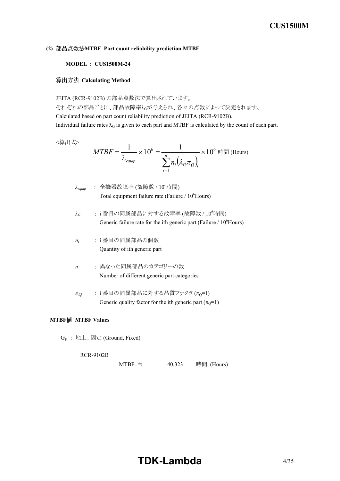#### **(2) MTBF Part count reliability prediction MTBF**

#### **MODEL : CUS1500M-24**

#### **Calculating Method**

JEITA (RCR-9102B) の部品点数法で算出されています。

それぞれの部品ごとに、部品故障率λGが与えられ、各々の点数によって決定されます。 Calculated based on part count reliability prediction of JEITA (RCR-9102B). Individual failure rates  $\lambda_G$  is given to each part and MTBF is calculated by the count of each part.

<算出式>

$$
MTBF = \frac{1}{\lambda_{\text{equip}}} \times 10^6 = \frac{1}{\sum_{i=1}^n n_i (\lambda_G \pi_Q)_i} \times 10^6 \text{ H (Hours)}
$$

 $λ_{\text{eaulip}}$  : 全機器故障率 (故障数 / 10<sup>6</sup>時間) Total equipment failure rate (Failure / 10<sup>6</sup>Hours)

- $\lambda$ <sup>G</sup>: i番目の同属部品に対する故障率 (故障数 / 10<sup>6</sup>時間) Generic failure rate for the ith generic part (Failure  $/ 10^6$ Hours)
- *ni* : i 番目の同属部品の個数 Quantity of ith generic part
- *n* : 異なった同属部品のカテゴリーの数 Number of different generic part categories
- $\pi_Q$  : i番目の同属部品に対する品質ファクタ ( $\pi_Q$ =1) Generic quality factor for the ith generic part  $(\pi_Q=1)$

#### **MTBF MTBF Values**

G<sup>F</sup> : 地上、固定 (Ground, Fixed)

**RCR-9102B** 

MTBF ≒  $40,323$  時間 (Hours)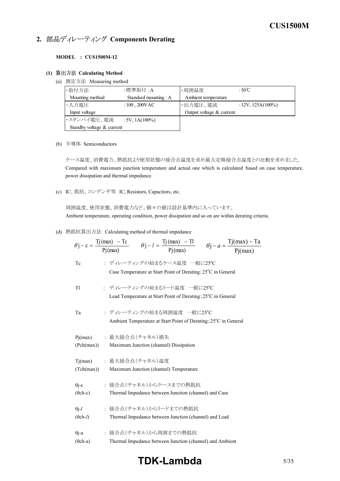# **2. 部品ディレーティング Components Derating**

#### **MODEL : CUS1500M-12**

#### **(1) Calculating Method**

(a) 測定方法 Measuring method

| ・取付方法                     | :標準取付 : A                  | ・周囲温度                    | : $50^{\circ}$ C     |
|---------------------------|----------------------------|--------------------------|----------------------|
| Mounting method           | Standard mounting : A      | Ambient temperature      |                      |
| ・入力電圧                     | : $100$ , $200 \text{VAC}$ | ・出力電圧、電流                 | $: 12V, 125A(100\%)$ |
| Input voltage             |                            | Output voltage & current |                      |
| ・スタンバイ電圧、電流               | $:5V, 1A(100\%)$           |                          |                      |
| Standby voltage & current |                            |                          |                      |

(b) 半導体 Semiconductors

ケース温度、消費電力、熱抵抗より使用状態の接合点温度を求め最大定格接合点温度との比較を求めました。 Compared with maximum junction temperature and actual one which is calculated based on case temperature, power dissipation and thermal impedance.

(c) IC、抵抗、コンデンサ等 IC, Resistors, Capacitors, etc.

周囲温度、使用状態、消費電力など、個々の値は設計基準内に入っています。 Ambient temperature, operating condition, power dissipation and so on are within derating criteria.

(d) 熱抵抗算出方法 Calculating method of thermal impedance

|                          | $\theta$ j – c = $\frac{Tj(max) - Tc}{Pi(max)}$ $\theta$ j – l = $\frac{Tj(max) - Tl}{Pi(max)}$ $\theta$ j – a = $\frac{Tj(max) - Ta}{Pi(max)}$ |
|--------------------------|-------------------------------------------------------------------------------------------------------------------------------------------------|
|                          |                                                                                                                                                 |
| Tc                       | : ディレーティングの始まるケース温度 一般に25℃<br>Case Temperature at Start Point of Derating; 25°C in General                                                      |
| Tl                       | : ディレーティングの始まるリード温度 一般に25℃<br>Lead Temperature at Start Point of Derating; 25 <sup>°</sup> C in General                                         |
| Ta                       | : ディレーティングの始まる周囲温度 一般に25℃<br>Ambient Temperature at Start Point of Derating; 25 <sup>°</sup> C in General                                       |
| Pj(max)                  | : 最大接合点(チャネル) 損失                                                                                                                                |
| (Pch(max))               | Maximum Junction (channel) Dissipation                                                                                                          |
| Tj(max)                  | : 最大接合点 (チャネル)温度                                                                                                                                |
| (Tch(max))               | Maximum Junction (channel) Temperature                                                                                                          |
| $\theta$ j-c             | • 接合点(チャネル)からケースまでの熱抵抗                                                                                                                          |
| $(\theta$ ch-c)          | Thermal Impedance between Junction (channel) and Case                                                                                           |
| $\theta$ j-l             | • 接合点(チャネル)からリードまでの熱抵抗                                                                                                                          |
| $(\theta$ ch- <i>l</i> ) | Thermal Impedance between Junction (channel) and Lead                                                                                           |
| $\theta$ j-a             | : 接合点(チャネル)から周囲までの熱抵抗                                                                                                                           |
| $(\theta$ ch-a)          | Thermal Impedance between Junction (channel) and Ambient                                                                                        |

# **TDK-Lambda**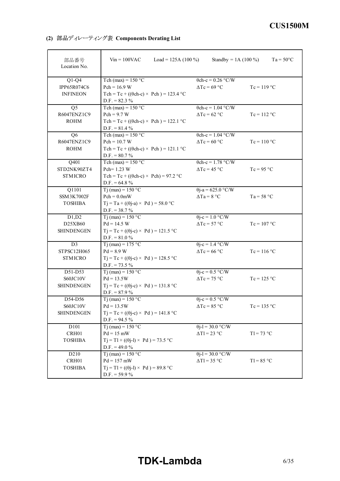**(2) Components Derating List**

| 部品番号<br>Location No.                            | $V$ in = 100VAC<br>Load = 125A $(100\%)$                                                                                 | Standby = $1A(100\%)$                                  | $Ta = 50^{\circ}C$ |
|-------------------------------------------------|--------------------------------------------------------------------------------------------------------------------------|--------------------------------------------------------|--------------------|
| $Q1-Q4$<br>IPP65R074C6<br><b>INFINEON</b>       | Tch (max) = $150 °C$<br>$Pch = 16.9 W$<br>Tch = Tc + (( $\theta$ ch-c) × Pch) = 123.4 °C<br>$D.F. = 82.3 %$              | $\theta$ ch-c = 0.26 °C/W<br>$\Delta Tc = 69$ °C       | $Tc = 119 °C$      |
| Q <sub>5</sub><br>R6047ENZ1C9<br><b>ROHM</b>    | Tch (max) = $150 °C$<br>$Pch = 9.7 W$<br>Tch = Tc + (( $\theta$ ch-c) × Pch) = 122.1 °C<br>$D.F. = 81.4 %$               | $\theta$ ch-c = 1.04 °C/W<br>$\Delta Tc = 62$ °C       | $Tc = 112 °C$      |
| Q <sub>6</sub><br>R6047ENZ1C9<br><b>ROHM</b>    | Tch (max) = $150 °C$<br>$Pch = 10.7 W$<br>Tch = Tc + (( $\theta$ ch-c) × Pch) = 121.1 °C<br>$D.F. = 80.7 %$              | $\theta$ ch-c = 1.04 °C/W<br>$\Delta Tc = 60$ °C       | $Tc = 110 °C$      |
| Q401<br>STD2NK90ZT4<br><b>STMICRO</b>           | Tch (max) = $150 °C$<br>Pch= 1.23 W<br>$Tch = Tc + ((\theta ch-c) \times Pch) = 97.2$ °C<br>$D.F. = 64.8 \%$             | $\theta$ ch-c = 1.78 °C/W<br>$\Delta Tc = 45^{\circ}C$ | $Tc = 95 °C$       |
| Q1101<br>SSM3K7002F<br><b>TOSHIBA</b>           | T <sub>j</sub> (max) = $150 °C$<br>$Pch = 0.0mW$<br>$Tj = Ta + ((\theta j-a) \times Pd) = 58.0 °C$<br>$D.F. = 38.7 %$    | $\theta$ j-a = 625.0 °C/W<br>$\Delta Ta = 8 °C$        | $Ta = 58 °C$       |
| D1,D2<br>D25XB60<br><b>SHINDENGEN</b>           | $\overline{T}$ j (max) = 150 °C<br>$Pd = 14.5 W$<br>$Tj = Tc + ((\theta j - c) \times Pd) = 121.5 °C$<br>$D.F. = 81.0 %$ | $\theta$ j-c = 1.0 °C/W<br>$\Delta Tc = 57 °C$         | $Tc = 107 °C$      |
| D <sub>3</sub><br>STPSC12H065<br><b>STMICRO</b> | T <sub>j</sub> (max) = 175 °C<br>$Pd = 8.9 W$<br>$Tj = Tc + ((\theta j - c) \times Pd) = 128.5 °C$<br>$D.F. = 73.5 \%$   | $\theta$ j-c = 1.4 °C/W<br>$\Delta Tc = 66$ °C         | $Tc = 116$ °C      |
| D51-D53<br>S60JC10V<br><b>SHINDENGEN</b>        | $Ti$ (max) = 150 °C<br>$Pd = 13.5W$<br>$Tj = Tc + ((\theta j - c) \times Pd) = 131.8$ °C<br>$D.F. = 87.9 %$              | $\theta$ j-c = 0.5 °C/W<br>$\Delta Tc = 75$ °C         | $Tc = 125$ °C      |
| D54-D56<br>S60JC10V<br><b>SHINDENGEN</b>        | Tj (max) = $150 °C$<br>$Pd = 13.5W$<br>$Tj = Tc + ((\theta j - c) \times Pd) = 141.8$ °C<br>$D.F. = 94.5 \%$             | $\theta$ j-c = 0.5 °C/W<br>$\Delta Tc = 85 °C$         | $Tc = 135 °C$      |
| D101<br>CRH01<br><b>TOSHIBA</b>                 | Tj (max) = $150 °C$<br>$Pd = 15$ mW<br>$Tj = T1 + ((\theta j - 1) \times Pd) = 73.5 °C$<br>D.F. = 49.0 $%$               | $\theta$ j-l = 30.0 °C/W<br>$\Delta T l = 23$ °C       | $T = 73$ °C        |
| D210<br>CRH <sub>01</sub><br><b>TOSHIBA</b>     | Tj (max) = $150 °C$<br>$Pd = 157$ mW<br>$Tj = T1 + ((\theta j - 1) \times Pd) = 89.8$ °C<br>$D.F. = 59.9 %$              | $\theta$ j-l = 30.0 °C/W<br>$\Delta T l = 35$ °C       | $T = 85 °C$        |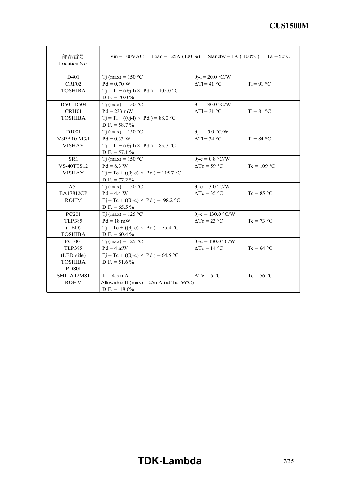| 部品番号<br>Location No. | $Vin = 100VAC$ Load = 125A (100 %)                   |                            | Standby = 1A ( $100\%$ ) Ta = 50°C |
|----------------------|------------------------------------------------------|----------------------------|------------------------------------|
| D401                 | Tj (max) = $150 °C$                                  | $\theta$ j-l = 20.0 °C/W   |                                    |
| CRF02                | $Pd = 0.70 W$                                        | $\Delta T l = 41$ °C       | $T = 91$ °C                        |
| <b>TOSHIBA</b>       | $T_1 = T_1 + ((\theta_1 - 1) \times P_d) = 105.0$ °C |                            |                                    |
|                      | D.F. = $70.0\%$                                      |                            |                                    |
| D501-D504            | Tj (max) = $150 °C$                                  | $\theta$ j-l = 30.0 °C/W   |                                    |
| CRH01                | $Pd = 233$ mW                                        | $\Delta T l = 31$ °C       | $T = 81^{\circ}C$                  |
| <b>TOSHIBA</b>       | $T_1 = T_1 + ((\theta_1 - 1) \times P_d) = 88.0$ °C  |                            |                                    |
|                      | $D.F. = 58.7 %$                                      |                            |                                    |
| D <sub>1001</sub>    | Tj (max) = $150 °C$                                  | $\theta$ j-l = 5.0 °C/W    |                                    |
| V8PA10-M3/I          | $Pd = 0.33 W$                                        | $\Delta T l = 34$ °C       | $TI = 84 °C$                       |
| <b>VISHAY</b>        | $T_1 = T_1 + ((\theta_1 - 1) \times P_d) = 85.7$ °C  |                            |                                    |
|                      | $D.F. = 57.1 \%$                                     |                            |                                    |
| SR1                  | Tj (max) = $150 °C$                                  | $\theta$ j-c = 0.8 °C/W    |                                    |
| <b>VS-40TTS12</b>    | $Pd = 8.3 W$                                         | $\Delta Tc = 59 \degree C$ | $Tc = 109 °C$                      |
| <b>VISHAY</b>        | $Tj = Tc + ((\theta j - c) \times Pd) = 115.7$ °C    |                            |                                    |
|                      | $D.F. = 77.2 \%$                                     |                            |                                    |
| A51                  | $Tj$ (max) = 150 °C                                  | $\theta$ j-c = 3.0 °C/W    |                                    |
| <b>BA17812CP</b>     | $Pd = 4.4 W$                                         | $\Delta Tc = 35$ °C        | $Tc = 85 °C$                       |
| <b>ROHM</b>          | $Tj = Tc + ((\theta j-c) \times Pd) = 98.2$ °C       |                            |                                    |
|                      | D.F. = $65.5\%$                                      |                            |                                    |
| PC201                | Tj (max) = $125 °C$                                  | $\theta$ j-c = 130.0 °C/W  |                                    |
| <b>TLP385</b>        | $Pd = 18$ mW                                         | $\Delta Tc = 23$ °C        | $Tc = 73 °C$                       |
| (LED)                | $Tj = Tc + ((\theta j - c) \times Pd) = 75.4$ °C     |                            |                                    |
| <b>TOSHIBA</b>       | D.F. = $60.4\%$                                      |                            |                                    |
| PC1001               | $Ti$ (max) = 125 °C                                  | $\theta$ j-c = 130.0 °C/W  |                                    |
| <b>TLP385</b>        | $Pd = 4$ mW                                          | $\Delta Tc = 14$ °C        | $Tc = 64 °C$                       |
| (LED side)           | $Tj = Tc + ((\theta j - c) \times Pd) = 64.5 °C$     |                            |                                    |
| <b>TOSHIBA</b>       | D.F. = $51.6\%$                                      |                            |                                    |
| PD801                |                                                      |                            |                                    |
| SML-A12M8T           | If $= 4.5$ mA                                        | $\Delta Tc = 6$ °C         | $Tc = 56 °C$                       |
| <b>ROHM</b>          | Allowable If (max) = $25mA$ (at Ta=56°C)             |                            |                                    |
|                      | $D.F. = 18.0\%$                                      |                            |                                    |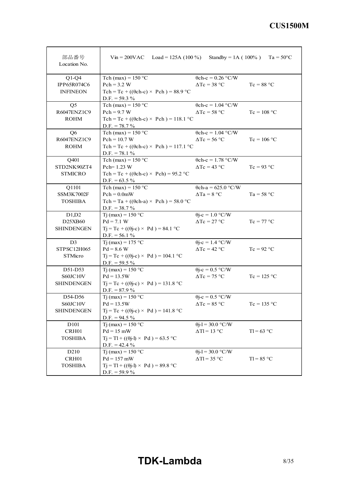| 部品番号<br>Location No. | $Vin = 200VAC$ Load = 125A (100 %)                |                                              | Standby = 1A ( $100\%$ ) Ta = 50°C |
|----------------------|---------------------------------------------------|----------------------------------------------|------------------------------------|
| $Q1-Q4$              | Tch (max) = $150 °C$                              | $\theta$ ch-c = 0.26 °C/W                    |                                    |
| IPP65R074C6          | $Pch = 3.2 W$                                     | $\Delta Tc = 38$ °C                          | $Tc = 88 °C$                       |
| <b>INFINEON</b>      | Tch = Tc + (( $\theta$ ch-c) × Pch) = 88.9 °C     |                                              |                                    |
|                      | D.F. = $59.3\%$                                   |                                              |                                    |
| Q <sub>5</sub>       | Tch (max) = $150 °C$                              | $\theta$ ch-c = 1.04 °C/W                    |                                    |
| R6047ENZ1C9          | $Pch = 9.7 W$                                     | $\Delta Tc = 58 °C$                          | $Tc = 108 °C$                      |
| <b>ROHM</b>          | Tch = Tc + (( $\theta$ ch-c) × Pch) = 118.1 °C    |                                              |                                    |
|                      | $D.F. = 78.7 %$                                   |                                              |                                    |
| Q <sub>6</sub>       | Tch (max) = $150 °C$                              | $\theta$ ch-c = 1.04 °C/W                    |                                    |
| R6047ENZ1C9          | $Pch = 10.7 W$                                    | $\Delta Tc = 56$ °C                          | $Tc = 106$ °C                      |
| <b>ROHM</b>          | Tch = Tc + (( $\theta$ ch-c) × Pch) = 117.1 °C    |                                              |                                    |
|                      | D.F. $= 78.1 \%$                                  |                                              |                                    |
| Q401                 | Tch (max) = $150 °C$                              | $\theta$ ch-c = 1.78 °C/W                    |                                    |
| STD2NK90ZT4          | $Pch=1.23$ W                                      | $\Delta Tc = 43 \text{ °C}$                  | $Tc = 93 °C$                       |
| <b>STMICRO</b>       | Tch = Tc + (( $\theta$ ch-c) × Pch) = 95.2 °C     |                                              |                                    |
|                      | D.F. = $63.5\%$                                   |                                              |                                    |
| Q1101                | Tch (max) = $150 °C$                              | $\theta$ ch-a = 625.0 °C/W                   |                                    |
| <b>SSM3K7002F</b>    | $Pch = 0.0mW$                                     | $\Delta Ta = 8 °C$                           | $Ta = 58 °C$                       |
| <b>TOSHIBA</b>       | Tch = Ta + (( $\theta$ ch-a) × Pch) = 58.0 °C     |                                              |                                    |
|                      | $D.F. = 38.7 %$                                   |                                              |                                    |
| D1,D2                | $Ti$ (max) = 150 °C                               | $\theta$ j-c = 1.0 °C/W                      |                                    |
| D25XB60              | $Pd = 7.1 W$                                      | $\Delta Tc = 27$ °C                          | $Tc = 77 °C$                       |
| <b>SHINDENGEN</b>    | $Tj = Tc + ((\theta j - c) \times Pd) = 84.1$ °C  |                                              |                                    |
|                      | $D.F. = 56.1 %$                                   |                                              |                                    |
| D <sub>3</sub>       | Tj (max) = $175 °C$                               | $\theta$ j-c = 1.4 °C/W                      |                                    |
| STPSC12H065          | $Pd = 8.6 W$                                      | $\Delta Tc = 42$ °C                          | $Tc = 92 °C$                       |
| STMicro              | $Tj = Tc + ((\theta j - c) \times Pd) = 104.1$ °C |                                              |                                    |
|                      | D.F. = $59.5\%$                                   |                                              |                                    |
| D51-D53              | Tj (max) = $150 °C$                               | $\theta$ j-c = 0.5 °C/W                      |                                    |
| S60JC10V             | $Pd = 13.5W$                                      | $\Delta Tc = 75$ °C                          | $Tc = 125 °C$                      |
| <b>SHINDENGEN</b>    | $Tj = Tc + ((\theta j - c) \times Pd) = 131.8$ °C |                                              |                                    |
|                      | D.F. = $87.9\%$                                   |                                              |                                    |
| D54-D56              | Tj (max) = $150 °C$                               | $\theta$ j-c = 0.5 °C/W                      |                                    |
| S60JC10V             | $Pd = 13.5W$                                      | $\Delta\mathrm{Tc} = 85\ \mathrm{^{\circ}C}$ | $Tc = 135 °C$                      |
| SHINDENGEN           | $Tj = Tc + ((\theta j - c) \times Pd) = 141.8$ °C |                                              |                                    |
|                      | D.F. = $94.5\%$                                   |                                              |                                    |
| D101                 | $Tj$ (max) = 150 °C                               | $\theta$ j-l = 30.0 °C/W                     |                                    |
| CRH01                | $Pd = 15$ mW                                      | $\Delta T l = 13 \text{ °C}$                 | $T = 63$ °C                        |
| <b>TOSHIBA</b>       | $Tj = Tl + ((\theta j - l) \times Pd) = 63.5$ °C  |                                              |                                    |
|                      | D.F. = $42.4\%$                                   |                                              |                                    |
| D <sub>210</sub>     | Tj (max) = $150 °C$                               | $\theta$ j-l = 30.0 °C/W                     |                                    |
| CRH01                | $Pd = 157$ mW                                     | $\Delta T l = 35 °C$                         | $TI = 85 °C$                       |
| <b>TOSHIBA</b>       | $Tj = Tl + ((\theta j - l) \times Pd) = 89.8$ °C  |                                              |                                    |
|                      | D.F. $=$ 59.9 %                                   |                                              |                                    |

# **TDK-Lambda** 8/35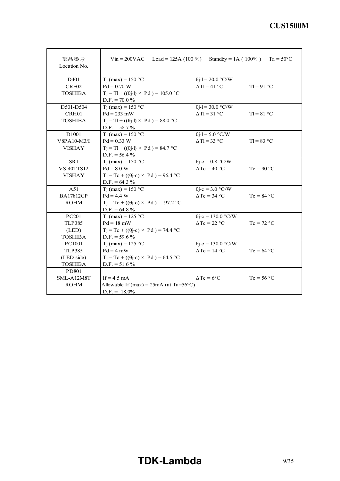| 部品番号<br>Location No. | $V$ in = 200VAC Load = 125A (100 %)                 |                             | Standby = 1A ( $100\%$ ) Ta = 50°C |
|----------------------|-----------------------------------------------------|-----------------------------|------------------------------------|
| D <sub>401</sub>     | $Tj(max) = 150 °C$                                  | $\theta$ j-l = 20.0 °C/W    |                                    |
| CRF <sub>02</sub>    | $Pd = 0.70 W$                                       | $\Delta T l = 41$ °C        | $T = 91$ °C                        |
| <b>TOSHIBA</b>       | $T_1 = T_1 + ((\theta - i) \times P d) = 105.0$ °C  |                             |                                    |
|                      | $D.F. = 70.0 %$                                     |                             |                                    |
| D501-D504            | $Ti$ (max) = 150 °C                                 | $\theta$ j-l = 30.0 °C/W    |                                    |
| CRH01                | $Pd = 233$ mW                                       | $\Delta T l = 31$ °C        | $TI = 81 °C$                       |
| <b>TOSHIBA</b>       | $T_1 = T_1 + ((\theta_1 - 1) \times P_d) = 88.0$ °C |                             |                                    |
|                      | $D.F. = 58.7 \%$                                    |                             |                                    |
| D <sub>1001</sub>    | $Ti$ (max) = 150 °C                                 | $\theta$ j-l = 5.0 °C/W     |                                    |
| V8PA10-M3/I          | $Pd = 0.33 W$                                       | $\Delta T l = 33$ °C        | $T = 83$ °C                        |
| <b>VISHAY</b>        | $Tj = Tl + ((\theta j - l) \times Pd) = 84.7$ °C    |                             |                                    |
|                      | $D.F. = 56.4 \%$                                    |                             |                                    |
| SR <sub>1</sub>      | T <sub>j</sub> (max) = $150 °C$                     | $\theta$ j-c = 0.8 °C/W     |                                    |
| <b>VS-40TTS12</b>    | $Pd = 8.0 W$                                        | $\Delta Tc = 40$ °C         | $Tc = 90 °C$                       |
| <b>VISHAY</b>        | $Tj = Tc + ((\theta j-c) \times Pd) = 96.4$ °C      |                             |                                    |
|                      | D.F. = $64.3\%$                                     |                             |                                    |
| A51                  | $Ti$ (max) = 150 °C                                 | $\theta$ j-c = 3.0 °C/W     |                                    |
| <b>BA17812CP</b>     | $Pd = 4.4 W$                                        | $\Delta Tc = 34$ °C         | $Tc = 84 °C$                       |
| <b>ROHM</b>          | $Tj = Tc + ((\theta j-c) \times Pd) = 97.2$ °C      |                             |                                    |
|                      | D.F. = $64.8\%$                                     |                             |                                    |
| PC201                | $Ti$ (max) = 125 °C                                 | $\theta$ j-c = 130.0 °C/W   |                                    |
| <b>TLP385</b>        | $Pd = 18$ mW                                        | $\Delta Tc = 22 \text{ °C}$ | $Tc = 72 °C$                       |
| (LED)                | $Tj = Tc + ((\theta j - c) \times Pd) = 74.4$ °C    |                             |                                    |
| <b>TOSHIBA</b>       | D.F. = $59.6\%$                                     |                             |                                    |
| PC1001               | $Ti$ (max) = 125 °C                                 | $\theta$ j-c = 130.0 °C/W   |                                    |
| <b>TLP385</b>        | $Pd = 4$ mW                                         | $\Delta Tc = 14$ °C         | $Tc = 64 °C$                       |
| (LED side)           | $Tj = Tc + ((\theta j - c) \times Pd) = 64.5$ °C    |                             |                                    |
| <b>TOSHIBA</b>       | D.F. = $51.6\%$                                     |                             |                                    |
| PD801                |                                                     |                             |                                    |
| SML-A12M8T           | If $= 4.5$ mA                                       | $\Delta Tc = 6$ °C          | $Tc = 56 °C$                       |
| <b>ROHM</b>          | Allowable If $(max) = 25mA$ (at Ta=56°C)            |                             |                                    |
|                      | $D.F. = 18.0\%$                                     |                             |                                    |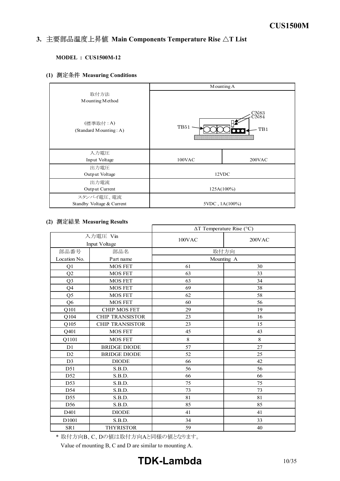#### *INSTRUCTION MANUAL* 3. 主要部品温度上昇值 Main Components Temperature Rise  $\Delta T$  List

#### **MODEL : CUS1500M-12**

**(1) Measuring Conditions**

|                                    | Mounting A          |                                                                  |  |  |  |
|------------------------------------|---------------------|------------------------------------------------------------------|--|--|--|
| 取付方法                               |                     |                                                                  |  |  |  |
| Mounting Method                    |                     |                                                                  |  |  |  |
| (標準取付:A)<br>(Standard Mounting: A) | TB51                | $\underset{\text{C} \text{N} 8 4}{\text{C} \text{N} 8 4}$<br>TB1 |  |  |  |
| 入力電圧                               |                     |                                                                  |  |  |  |
| Input Voltage                      | 100VAC              | 200VAC                                                           |  |  |  |
| 出力電圧                               |                     |                                                                  |  |  |  |
| Output Voltage                     |                     | 12VDC                                                            |  |  |  |
| 出力電流                               |                     |                                                                  |  |  |  |
| Output Current                     | 125A(100%)          |                                                                  |  |  |  |
| スタンバイ電圧、電流                         |                     |                                                                  |  |  |  |
| Standby Voltage & Current          | $5VDC$ , $1A(100%)$ |                                                                  |  |  |  |

#### **(2) Measuring Results**

|                   |                           | $\Delta T$ Temperature Rise (°C) |            |  |  |  |  |
|-------------------|---------------------------|----------------------------------|------------|--|--|--|--|
|                   | 入力電圧 Vin<br>Input Voltage | $100$ VAC                        | 200VAC     |  |  |  |  |
| 部品番号              | 部品名                       |                                  | 取付方向       |  |  |  |  |
| Location No.      | Part name                 |                                  | Mounting A |  |  |  |  |
| Q1                | <b>MOS FET</b>            | 61                               | 30         |  |  |  |  |
| Q2                | <b>MOS FET</b>            | 63                               | 33         |  |  |  |  |
| Q <sub>3</sub>    | <b>MOS FET</b>            | 63                               | 34         |  |  |  |  |
| Q4                | <b>MOS FET</b>            | 69                               | 38         |  |  |  |  |
| Q <sub>5</sub>    | <b>MOS FET</b>            | 62                               | 58         |  |  |  |  |
| Q <sub>6</sub>    | <b>MOS FET</b>            | 60                               | 56         |  |  |  |  |
| Q101              | <b>CHIP MOS FET</b>       | 29                               | 19         |  |  |  |  |
| Q104              | <b>CHIP TRANSISTOR</b>    | 23                               | 16         |  |  |  |  |
| Q105              | <b>CHIP TRANSISTOR</b>    | 23                               | 15         |  |  |  |  |
| Q401              | <b>MOS FET</b>            | 45                               | 43         |  |  |  |  |
| Q1101             | <b>MOS FET</b>            | 8                                | 8          |  |  |  |  |
| D <sub>1</sub>    | <b>BRIDGE DIODE</b>       | 57                               | 27         |  |  |  |  |
| D2                | <b>BRIDGE DIODE</b>       | 52                               | 25         |  |  |  |  |
| D <sub>3</sub>    | <b>DIODE</b>              | 66                               | 42         |  |  |  |  |
| D51               | S.B.D.                    | 56                               | 56         |  |  |  |  |
| D52               | S.B.D.                    | 66                               | 66         |  |  |  |  |
| D53               | S.B.D.                    | 75                               | 75         |  |  |  |  |
| D54               | S.B.D.                    | 73                               | 73         |  |  |  |  |
| D <sub>55</sub>   | S.B.D.                    | 81                               | 81         |  |  |  |  |
| D56               | S.B.D.                    | 85                               | 85         |  |  |  |  |
| D401              | <b>DIODE</b>              | 41                               | 41         |  |  |  |  |
| D <sub>1001</sub> | S.B.D.                    | 34                               | 33         |  |  |  |  |
| SR1               | <b>THYRISTOR</b>          | 59                               | 40         |  |  |  |  |

\* 取付方向B、C、Dの値は取付方向Aと同様の値となります。

Value of mounting B, C and D are similar to mounting A.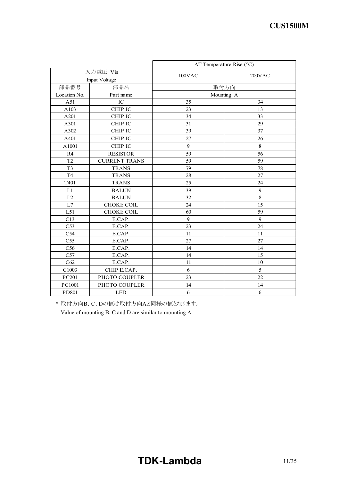|                 |                      | $\Delta T$ Temperature Rise (°C) |        |  |  |  |  |  |
|-----------------|----------------------|----------------------------------|--------|--|--|--|--|--|
| 入力電圧 Vin        |                      | $100$ VAC                        | 200VAC |  |  |  |  |  |
|                 | Input Voltage        |                                  |        |  |  |  |  |  |
| 部品番号            | 部品名                  | 取付方向                             |        |  |  |  |  |  |
| Location No.    | Part name            | Mounting A                       |        |  |  |  |  |  |
| A51             | IC                   | 35                               | 34     |  |  |  |  |  |
| A103            | CHIP IC              | 23                               | 13     |  |  |  |  |  |
| A201            | CHIP IC              | 34                               | 33     |  |  |  |  |  |
| A301            | CHIP IC              | 31                               | 29     |  |  |  |  |  |
| A302            | CHIP IC              | 39                               | 37     |  |  |  |  |  |
| A401            | CHIP IC              | 27                               | 26     |  |  |  |  |  |
| A1001           | CHIP IC              | 9                                | 8      |  |  |  |  |  |
| R4              | <b>RESISTOR</b>      | 59                               | 56     |  |  |  |  |  |
| T <sub>2</sub>  | <b>CURRENT TRANS</b> | 59                               | 59     |  |  |  |  |  |
| T <sub>3</sub>  | <b>TRANS</b>         | 79                               | 78     |  |  |  |  |  |
| T <sub>4</sub>  | <b>TRANS</b>         | 28                               | 27     |  |  |  |  |  |
| T401            | <b>TRANS</b>         | 25                               | 24     |  |  |  |  |  |
| L1              | <b>BALUN</b>         | 39                               | 9      |  |  |  |  |  |
| L2              | <b>BALUN</b>         | 32                               | 8      |  |  |  |  |  |
| L7              | <b>CHOKE COIL</b>    | 24                               | 15     |  |  |  |  |  |
| L51             | <b>CHOKE COIL</b>    | 60                               | 59     |  |  |  |  |  |
| C13             | E.CAP.               | 9                                | 9      |  |  |  |  |  |
| C <sub>53</sub> | E.CAP.               | 23                               | 24     |  |  |  |  |  |
| C <sub>54</sub> | E.CAP.               | 11                               | 11     |  |  |  |  |  |
| C <sub>55</sub> | E.CAP.               | 27                               | 27     |  |  |  |  |  |
| C56             | E.CAP.               | 14                               | 14     |  |  |  |  |  |
| C57             | E.CAP.               | 14                               | 15     |  |  |  |  |  |
| C62             | E.CAP.               | 11                               | 10     |  |  |  |  |  |
| C1003           | CHIP E.CAP.          | 6                                | 5      |  |  |  |  |  |
| PC201           | PHOTO COUPLER        | 23                               | 22     |  |  |  |  |  |
| PC1001          | PHOTO COUPLER        | 14                               | 14     |  |  |  |  |  |
| PD801           | <b>LED</b>           | 6                                | 6      |  |  |  |  |  |

\* 取付方向B、C、Dの値は取付方向Aと同様の値となります。

Value of mounting B, C and D are similar to mounting A.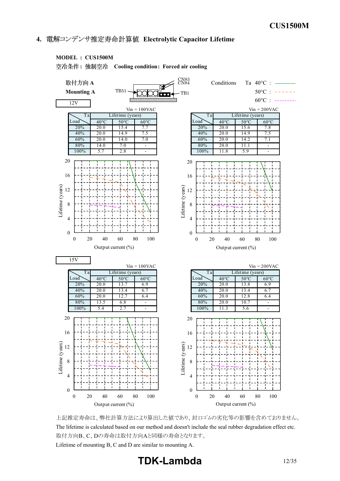### **4. Electrolytic Capacitor Lifetime**

#### **MODEL : CUS1500M**

**: Cooling condition: Forced air cooling**



上記推定寿命は、弊社計算方法により算出した値であり、封口ゴムの劣化等の影響を含めておりません。 The lifetime is calculated based on our method and doesn't include the seal rubber degradation effect etc. 取付方向B、C、Dの寿命は取付方向Aと同様の寿命となります。

Lifetime of mounting B, C and D are similar to mounting A.

**TDKLambda** 12/35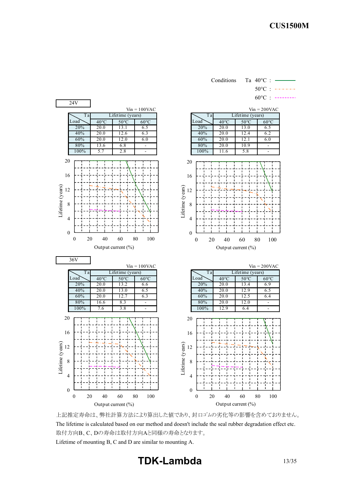Conditions Ta 40°C :



上記推定寿命は、弊社計算方法により算出した値であり、封口ゴムの劣化等の影響を含めておりません。 The lifetime is calculated based on our method and doesn't include the seal rubber degradation effect etc. 取付方向B、C、Dの寿命は取付方向Aと同様の寿命となります。 Lifetime of mounting B, C and D are similar to mounting A.

# **TDK-Lambda** 13/35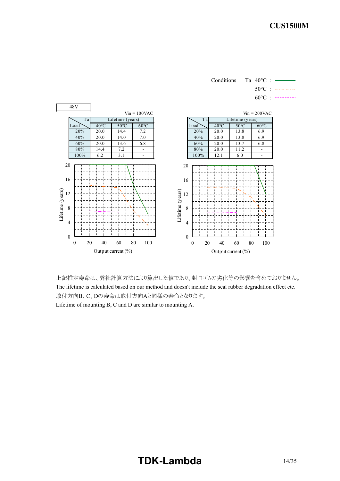Conditions Ta 40°C :  $50^{\circ}$ C :  $-- 60^{\circ}$ C : --------



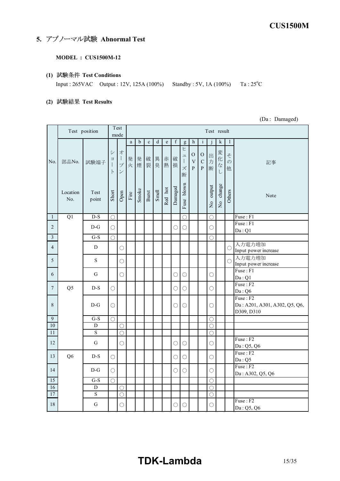# **5. アブノーマル試験 Abnormal Test**

#### **MODEL : CUS1500M-12**

**(1) Test Conditions**

Input : 265VAC Output : 12V, 125A (100%) Standby : 5V, 1A (100%) Ta : 25°C

**(2) Test Results**

(Da : Damaged)

|                         | Test position   |                         |                             | Test<br>mode                                                                                               | Test result           |             |              |        |             |            |                                                           |                                            |                                        |             |                                    |                         |                                                         |
|-------------------------|-----------------|-------------------------|-----------------------------|------------------------------------------------------------------------------------------------------------|-----------------------|-------------|--------------|--------|-------------|------------|-----------------------------------------------------------|--------------------------------------------|----------------------------------------|-------------|------------------------------------|-------------------------|---------------------------------------------------------|
|                         |                 |                         |                             |                                                                                                            | $\rm{a}$              | $\mathbf b$ | $\mathbf{c}$ | d      | $\mathbf e$ | f          | g                                                         | $\mathbf{h}$                               | $\mathbf{i}$                           | j           | $\mathbf k$                        | 1                       |                                                         |
| No.                     | 部品No.           | 試験端子                    | シ<br>$\Xi$<br>1<br>$\vdash$ | 才<br>$\begin{array}{c} \hline \end{array}$<br>$\overline{\mathcal{I}}^{\circ}$<br>$\overline{\mathscr{S}}$ | 発                     | 発<br>火煙裂    | 破            | 異<br>臭 | 赤<br>熱      | 破<br>損     | ヒ<br>ユ<br>$\begin{array}{c} \hline \end{array}$<br>ズ<br>断 | $\mathcal{O}$<br>$\bar{V}$<br>$\mathbf{P}$ | ${\rm O}$<br>${\bf C}$<br>$\mathbf{P}$ | 出<br>力<br>断 | 変<br>化<br>$\vec{\mathcal{T}}$<br>L | そ<br>$\mathcal{O}$<br>他 | 記事                                                      |
|                         | Location<br>No. | Test<br>point           | Short                       | Open                                                                                                       | $\operatorname{Fire}$ | Smoke       | Burst        | Smell  | Red hot     | Damaged    | blown<br>Fuse                                             |                                            |                                        | No output   | No change                          | Others                  | Note                                                    |
| $\mathbf{1}$            | $\overline{Q1}$ | $D-S$                   | $\bigcirc$                  |                                                                                                            |                       |             |              |        |             |            | $\bigcirc$                                                |                                            |                                        | $\bigcirc$  |                                    |                         | Fuse: F1                                                |
| $\overline{2}$          |                 | $D-G$                   | $\bigcirc$                  |                                                                                                            |                       |             |              |        |             | О          | $\bigcirc$                                                |                                            |                                        | О           |                                    |                         | $F$ use: $F1$<br>Da:Q1                                  |
| $\overline{\mathbf{3}}$ |                 | $\overline{G-S}$        | $\bigcirc$                  |                                                                                                            |                       |             |              |        |             |            |                                                           |                                            |                                        | $\bigcirc$  |                                    |                         |                                                         |
| $\overline{4}$          |                 | D                       |                             | $\bigcirc$                                                                                                 |                       |             |              |        |             |            |                                                           |                                            |                                        |             |                                    | $\bigcirc$              | 入力電力増加<br>Input power increase                          |
| 5                       |                 | S                       |                             | O                                                                                                          |                       |             |              |        |             |            |                                                           |                                            |                                        |             |                                    | $\bigcirc$              | 入力電力増加<br>Input power increase                          |
| 6                       |                 | G                       |                             | O                                                                                                          |                       |             |              |        |             | О          | О                                                         |                                            |                                        | $\bigcirc$  |                                    |                         | Fuse: F1<br>Da:Q1                                       |
| $\boldsymbol{7}$        | Q5              | $D-S$                   | O                           |                                                                                                            |                       |             |              |        |             | O          | O                                                         |                                            |                                        | $\bigcirc$  |                                    |                         | Fuse: F2<br>Da: Q6                                      |
| 8                       |                 | $D-G$                   | O                           |                                                                                                            |                       |             |              |        |             | O          | O                                                         |                                            |                                        | O           |                                    |                         | Fuse: F2<br>Da: A201, A301, A302, Q5, Q6,<br>D309, D310 |
| $\overline{9}$          |                 | $\overline{G-S}$        | $\bigcirc$                  |                                                                                                            |                       |             |              |        |             |            |                                                           |                                            |                                        | $\bigcirc$  |                                    |                         |                                                         |
| 10                      |                 | D                       |                             | $\bigcirc$                                                                                                 |                       |             |              |        |             |            |                                                           |                                            |                                        | $\bigcirc$  |                                    |                         |                                                         |
| 11                      |                 | $\overline{\mathbf{S}}$ |                             | $\bigcirc$                                                                                                 |                       |             |              |        |             |            |                                                           |                                            |                                        | $\bigcirc$  |                                    |                         |                                                         |
| 12                      |                 | G                       |                             | $\bigcirc$                                                                                                 |                       |             |              |        |             | $\bigcirc$ | $\bigcirc$                                                |                                            |                                        | $\bigcirc$  |                                    |                         | Fuse: F2<br>Da: Q5, Q6                                  |
| 13                      | Q <sub>6</sub>  | $D-S$                   | $\bigcirc$                  |                                                                                                            |                       |             |              |        |             | О          | О                                                         |                                            |                                        | $\bigcirc$  |                                    |                         | Fuse: F2<br>Da:Q5                                       |
| 14                      |                 | $D-G$                   | $\bigcirc$                  |                                                                                                            |                       |             |              |        |             | О          | О                                                         |                                            |                                        | $\bigcirc$  |                                    |                         | Fuse: F2<br>Da: A302, Q5, Q6                            |
| 15                      |                 | $G-S$                   | $\bigcirc$                  |                                                                                                            |                       |             |              |        |             |            |                                                           |                                            |                                        | $\bigcirc$  |                                    |                         |                                                         |
| 16                      |                 | D                       |                             | О                                                                                                          |                       |             |              |        |             |            |                                                           |                                            |                                        | $\bigcirc$  |                                    |                         |                                                         |
| 17                      |                 | $\overline{\mathbf{S}}$ |                             | $\bigcirc$                                                                                                 |                       |             |              |        |             |            |                                                           |                                            |                                        | O           |                                    |                         |                                                         |
| 18                      |                 | G                       |                             | О                                                                                                          |                       |             |              |        |             | О          | $\bigcirc$                                                |                                            |                                        | $\bigcirc$  |                                    |                         | Fuse: F2<br>Da: Q5, Q6                                  |

# **TDKLambda** 15/35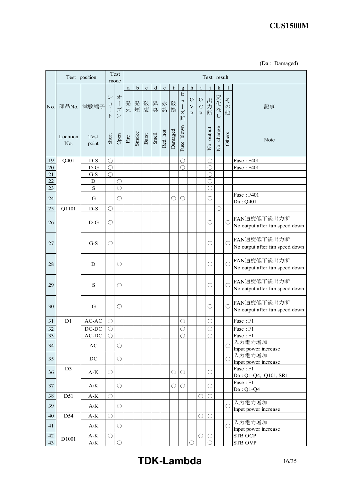|  | (Da: Damaged) |
|--|---------------|
|--|---------------|

|           |                 | Test position                                      |                               | Test<br>mode                                                                                                                                                                                                                                                                                                                                                                                                                                                                                                                                                                                                                                                                                                                   |          |             |             |              |                                                                                |             |                               |                                            |                                              |                       | Test result |                         |                                               |
|-----------|-----------------|----------------------------------------------------|-------------------------------|--------------------------------------------------------------------------------------------------------------------------------------------------------------------------------------------------------------------------------------------------------------------------------------------------------------------------------------------------------------------------------------------------------------------------------------------------------------------------------------------------------------------------------------------------------------------------------------------------------------------------------------------------------------------------------------------------------------------------------|----------|-------------|-------------|--------------|--------------------------------------------------------------------------------|-------------|-------------------------------|--------------------------------------------|----------------------------------------------|-----------------------|-------------|-------------------------|-----------------------------------------------|
|           |                 |                                                    |                               |                                                                                                                                                                                                                                                                                                                                                                                                                                                                                                                                                                                                                                                                                                                                | $\rm{a}$ | $\mathbf b$ | $\mathbf c$ | $\mathbf d$  | $\mathbf{e}% _{B}=\mathbf{e}_{B}+\mathbf{e}_{B}+\mathbf{e}_{B}+\mathbf{e}_{B}$ | $\mathbf f$ | $\mathbf{g}$                  | $\mathbf h$                                | $\mathbf{i}$                                 |                       | $\mathbf k$ | 1                       |                                               |
| No.       | 部品No.           | 試験端子                                               | $\ddot{\checkmark}$<br>日<br>F | 才<br>$\bigg] % \begin{minipage}[b]{.45\linewidth} \centering \includegraphics[width=\textwidth]{figs/fig_4.pdf} \caption{The number of different models in the left and right.} \label{fig:fig_4} \end{minipage} % \begin{minipage}[b]{.45\linewidth} \centering \includegraphics[width=\textwidth]{figs/fig_4.pdf} \caption{The number of different models in the right and right.} \label{fig:fig_4} \end{minipage} % \begin{minipage}[b]{.45\linewidth} \centering \includegraphics[width=\textwidth]{figs/fig_4.pdf} \caption{The number of different models in the right and right.} \label{fig:fig_4} \end{minipage} % \caption{The number of different models in the right and right.$<br>ブ<br>$\overline{\mathcal{C}}$ | 発<br>火   | 発<br>煙      | 破<br>裂      | 異<br>臭       | 赤<br>熱                                                                         | 破<br>損      | ヒ<br>ユ<br>$\,$ $\,$<br>ズ<br>断 | $\mathbf O$<br>$\mathbf V$<br>$\, {\bf P}$ | $\mathbf O$<br>$\mathbf C$<br>$\overline{P}$ | 出力<br>断               | 変化な         | そ<br>$\mathcal{O}$<br>他 | 記事                                            |
|           | Location<br>No. | Test<br>point                                      | Short                         | Open                                                                                                                                                                                                                                                                                                                                                                                                                                                                                                                                                                                                                                                                                                                           | Fire     | Smoke       | Burst       | <b>Smell</b> | Red hot                                                                        | Damaged     | Fuse blown                    |                                            |                                              | No output             | No change   | Others                  | Note                                          |
| 19        | Q401            | $D-S$                                              | $\bigcirc$                    |                                                                                                                                                                                                                                                                                                                                                                                                                                                                                                                                                                                                                                                                                                                                |          |             |             |              |                                                                                |             | $\bigcirc$                    |                                            |                                              | О                     |             |                         | Fuse: F401                                    |
| $20\,$    |                 | $D-G$                                              | $\bigcirc$                    |                                                                                                                                                                                                                                                                                                                                                                                                                                                                                                                                                                                                                                                                                                                                |          |             |             |              |                                                                                |             | $\bigcirc$                    |                                            |                                              | $\bigcirc$            |             |                         | Fuse: F401                                    |
| $21\,$    |                 | $G-S$                                              | $\bigcirc$                    |                                                                                                                                                                                                                                                                                                                                                                                                                                                                                                                                                                                                                                                                                                                                |          |             |             |              |                                                                                |             |                               |                                            |                                              | Ō                     |             |                         |                                               |
| 22        |                 | $\mathbf D$                                        |                               | C)                                                                                                                                                                                                                                                                                                                                                                                                                                                                                                                                                                                                                                                                                                                             |          |             |             |              |                                                                                |             |                               |                                            |                                              | O                     |             |                         |                                               |
| 23        |                 | $\rm S$                                            |                               | ◯                                                                                                                                                                                                                                                                                                                                                                                                                                                                                                                                                                                                                                                                                                                              |          |             |             |              |                                                                                |             |                               |                                            |                                              | ∩                     |             |                         |                                               |
| 24        |                 | G                                                  |                               | ( )                                                                                                                                                                                                                                                                                                                                                                                                                                                                                                                                                                                                                                                                                                                            |          |             |             |              |                                                                                | O           | О                             |                                            |                                              | $\bigcirc$            |             |                         | <b>Fuse: F401</b><br>Da: Q401                 |
| 25        | Q1101           | $D-S$                                              | $\bigcirc$                    |                                                                                                                                                                                                                                                                                                                                                                                                                                                                                                                                                                                                                                                                                                                                |          |             |             |              |                                                                                |             |                               |                                            |                                              |                       | ( )         |                         |                                               |
| 26        |                 | $D-G$                                              | O                             |                                                                                                                                                                                                                                                                                                                                                                                                                                                                                                                                                                                                                                                                                                                                |          |             |             |              |                                                                                |             |                               |                                            |                                              | О                     |             | O                       | FAN速度低下後出力断<br>No output after fan speed down |
| 27        |                 | $G-S$                                              | $\bigcirc$                    |                                                                                                                                                                                                                                                                                                                                                                                                                                                                                                                                                                                                                                                                                                                                |          |             |             |              |                                                                                |             |                               |                                            |                                              | О                     |             | О                       | FAN速度低下後出力断<br>No output after fan speed down |
| 28        |                 | D                                                  |                               | O                                                                                                                                                                                                                                                                                                                                                                                                                                                                                                                                                                                                                                                                                                                              |          |             |             |              |                                                                                |             |                               |                                            |                                              | $\bigcirc$            |             | $\bigcirc$              | FAN速度低下後出力断<br>No output after fan speed down |
| 29        |                 | S                                                  |                               | O                                                                                                                                                                                                                                                                                                                                                                                                                                                                                                                                                                                                                                                                                                                              |          |             |             |              |                                                                                |             |                               |                                            |                                              | $\bigcirc$            |             | $\bigcirc$              | FAN速度低下後出力断<br>No output after fan speed down |
| 30        |                 | G                                                  |                               | O                                                                                                                                                                                                                                                                                                                                                                                                                                                                                                                                                                                                                                                                                                                              |          |             |             |              |                                                                                |             |                               |                                            |                                              | О                     |             | $\bigcirc$              | FAN速度低下後出力断<br>No output after fan speed down |
| 31        | D1              | $\mathbb{A}\mathbb{C}\text{-}\mathbb{A}\mathbb{C}$ | O                             |                                                                                                                                                                                                                                                                                                                                                                                                                                                                                                                                                                                                                                                                                                                                |          |             |             |              |                                                                                |             | О                             |                                            |                                              | O                     |             |                         | Fuse: F1                                      |
| <u>32</u> |                 | DC-DC                                              | $\cup$                        |                                                                                                                                                                                                                                                                                                                                                                                                                                                                                                                                                                                                                                                                                                                                |          |             |             |              |                                                                                |             | $\bigcirc$                    |                                            |                                              | $\bigcirc$            |             |                         | Fuse : F1                                     |
| 33        |                 | $\mathbf{AC}\text{-}\mathbf{DC}$                   | ◯                             |                                                                                                                                                                                                                                                                                                                                                                                                                                                                                                                                                                                                                                                                                                                                |          |             |             |              |                                                                                |             | $\bigcirc$                    |                                            |                                              | $\overline{\bigcirc}$ |             |                         | Fuse: F1                                      |
| 34        |                 | AC                                                 |                               | О                                                                                                                                                                                                                                                                                                                                                                                                                                                                                                                                                                                                                                                                                                                              |          |             |             |              |                                                                                |             |                               |                                            |                                              |                       |             | $\bigcirc$              | 入力電力増加<br>Input power increase                |
| 35        |                 | DC                                                 |                               | $\bigcirc$                                                                                                                                                                                                                                                                                                                                                                                                                                                                                                                                                                                                                                                                                                                     |          |             |             |              |                                                                                |             |                               |                                            |                                              |                       |             | $\bigcirc$              | 入力電力増加<br>Input power increase                |
| 36        | D <sub>3</sub>  | $A-K$                                              | $\bigcirc$                    |                                                                                                                                                                                                                                                                                                                                                                                                                                                                                                                                                                                                                                                                                                                                |          |             |             |              |                                                                                | $\bigcirc$  | $\bigcirc$                    |                                            |                                              | $\bigcirc$            |             |                         | Fuse: F1<br>Da: Q1-Q4, Q101, SR1              |
| 37        |                 | $\rm{A/K}$                                         |                               | $\bigcirc$                                                                                                                                                                                                                                                                                                                                                                                                                                                                                                                                                                                                                                                                                                                     |          |             |             |              |                                                                                | $\bigcirc$  | $\bigcirc$                    |                                            |                                              | $\bigcirc$            |             |                         | Fuse: F1<br>$Da:Q1-Q4$                        |
| 38        | D51             | $\mathrm{A}\text{-}\mathrm{K}$                     | $\bigcirc$                    |                                                                                                                                                                                                                                                                                                                                                                                                                                                                                                                                                                                                                                                                                                                                |          |             |             |              |                                                                                |             |                               |                                            | $\bigcirc$                                   | $\bigcirc$            |             |                         |                                               |
| 39        |                 | $\rm{A/K}$                                         |                               | $\bigcirc$                                                                                                                                                                                                                                                                                                                                                                                                                                                                                                                                                                                                                                                                                                                     |          |             |             |              |                                                                                |             |                               |                                            |                                              |                       |             | $\bigcirc$              | 入力電力増加<br>Input power increase                |
| 40        | D54             | $\mathrm{A}\text{-}\mathrm{K}$                     | $\bigcirc$                    |                                                                                                                                                                                                                                                                                                                                                                                                                                                                                                                                                                                                                                                                                                                                |          |             |             |              |                                                                                |             |                               |                                            | $\bigcirc$                                   | $\bigcirc$            |             |                         |                                               |
| 41        |                 | $\mathbf{A}/\mathbf{K}$                            |                               | O                                                                                                                                                                                                                                                                                                                                                                                                                                                                                                                                                                                                                                                                                                                              |          |             |             |              |                                                                                |             |                               |                                            |                                              |                       |             | $\bigcirc$              | 入力電力増加<br>Input power increase                |
| 42        |                 | $A-K$                                              | $\bigcirc$                    |                                                                                                                                                                                                                                                                                                                                                                                                                                                                                                                                                                                                                                                                                                                                |          |             |             |              |                                                                                |             |                               |                                            | $\bigcirc$                                   | $\bigcirc$            |             |                         | <b>STB OCP</b>                                |
| 43        | D1001           | $\mathbf{A}/\mathbf{K}$                            |                               | $\bigcirc$                                                                                                                                                                                                                                                                                                                                                                                                                                                                                                                                                                                                                                                                                                                     |          |             |             |              |                                                                                |             |                               |                                            |                                              |                       |             |                         | <b>STB OVP</b>                                |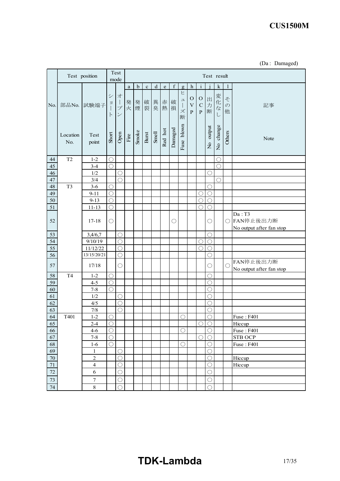| (Da : | Damaged) |
|-------|----------|
|-------|----------|

|                  |                 | Test position                |                                                   | Test                               |                       |             |             |             |                                                                                |             |                              |                                                |                                            |                          | Test result         |                         |                                                 |
|------------------|-----------------|------------------------------|---------------------------------------------------|------------------------------------|-----------------------|-------------|-------------|-------------|--------------------------------------------------------------------------------|-------------|------------------------------|------------------------------------------------|--------------------------------------------|--------------------------|---------------------|-------------------------|-------------------------------------------------|
|                  |                 |                              |                                                   | mode                               |                       |             |             |             |                                                                                |             |                              |                                                |                                            |                          |                     |                         |                                                 |
|                  |                 |                              |                                                   |                                    | $\rm{a}$              | $\mathbf b$ | $\mathbf c$ | $\mathbf d$ | $\mathbf{e}% _{B}=\mathbf{e}_{B}+\mathbf{e}_{B}+\mathbf{e}_{B}+\mathbf{e}_{B}$ | $\mathbf f$ | $\mathbf{g}$                 | $\mathbf h$                                    | $\mathbf{i}$                               |                          | $\bf k$             | 1                       |                                                 |
| No.              | 部品No.           | 試験端子                         | $\ddot{\checkmark}$<br>$\exists$<br>$\mathcal{F}$ | 才<br>$\Big\}$<br>ブ<br>$\checkmark$ | 発<br>火                | 発<br>煙      | 破<br>裂      | 異<br>臭      | 赤<br>熱                                                                         | 破<br>損      | ヒ<br>ユ<br>$\Big\}$<br>ズ<br>断 | O<br>$\ensuremath{\mathbf{V}}$<br>$\, {\bf P}$ | $\mathcal{O}$<br>${\bf C}$<br>$\mathbf{P}$ | 出<br>力<br>断              | 変<br>化<br>$\vec{z}$ | そ<br>$\mathcal{D}$<br>他 | 記事                                              |
|                  | Location<br>No. | Test<br>point                | Short                                             | Open                               | $\operatorname{Fire}$ | Smoke       | Burst       | Smell       | Red hot                                                                        | Damaged     | blown<br>Fuse                |                                                |                                            | No output                | No change           | Others                  | Note                                            |
| 44               | T <sub>2</sub>  | $1 - 2$                      | $\bigcirc$                                        |                                    |                       |             |             |             |                                                                                |             |                              |                                                |                                            |                          | O                   |                         |                                                 |
| 45               |                 | $3 - 4$                      | $\bigcirc$                                        |                                    |                       |             |             |             |                                                                                |             |                              |                                                |                                            |                          | $\bigcirc$          |                         |                                                 |
| 46               |                 | 1/2                          |                                                   | О                                  |                       |             |             |             |                                                                                |             |                              |                                                |                                            | $\bigcirc$               |                     |                         |                                                 |
| 47               |                 | 3/4                          |                                                   | $\bigcirc$                         |                       |             |             |             |                                                                                |             |                              |                                                |                                            |                          | $\bigcirc$          |                         |                                                 |
| 48               | T <sub>3</sub>  | $3-6$                        | $\bigcirc$                                        |                                    |                       |             |             |             |                                                                                |             |                              |                                                |                                            | $\bigcirc$               |                     |                         |                                                 |
| 49               |                 | $9 - 11$                     | $\bigcirc$                                        |                                    |                       |             |             |             |                                                                                |             |                              |                                                | $\bigcirc$                                 | $\bigcirc$               |                     |                         |                                                 |
| 50               |                 | $9 - 13$                     | $\bigcirc$                                        |                                    |                       |             |             |             |                                                                                |             |                              |                                                | $\circ$                                    | $\bigcirc$               |                     |                         |                                                 |
| 51               |                 | $11 - 13$                    | $\bigcirc$                                        |                                    |                       |             |             |             |                                                                                |             |                              |                                                | $\mathcal{C}$                              | $\bigcirc$               |                     |                         |                                                 |
| 52               |                 | $17 - 18$                    | $\bigcirc$                                        |                                    |                       |             |             |             |                                                                                | O           |                              |                                                |                                            | О                        |                     | $\bigcirc$              | Da: T3<br>FAN停止後出力断<br>No output after fan stop |
| 53               |                 | 3,4/6,7                      |                                                   | $\bigcirc$                         |                       |             |             |             |                                                                                |             |                              |                                                |                                            | $\bigcirc$               |                     |                         |                                                 |
| 54               |                 | 9/10/19                      |                                                   | $\bigcirc$                         |                       |             |             |             |                                                                                |             |                              |                                                | $\bigcirc$                                 | $\bigcirc$               |                     |                         |                                                 |
| 55               |                 | 11/12/22                     |                                                   | О                                  |                       |             |             |             |                                                                                |             |                              |                                                | $\subset$                                  | O                        |                     |                         |                                                 |
| 56               |                 | 13/15/20/21                  |                                                   | $\bigcirc$                         |                       |             |             |             |                                                                                |             |                              |                                                |                                            | O                        |                     |                         |                                                 |
| 57               |                 | 17/18                        |                                                   | О                                  |                       |             |             |             |                                                                                |             |                              |                                                |                                            | O                        |                     | $\bigcirc$              | FAN停止後出力断<br>No output after fan stop           |
| 58               | T <sub>4</sub>  | $1 - 2$                      | $\bigcirc$                                        |                                    |                       |             |             |             |                                                                                |             |                              |                                                |                                            | $\bigcirc$               |                     |                         |                                                 |
| 59               |                 | $4 - 5$                      | $\bigcirc$                                        |                                    |                       |             |             |             |                                                                                |             |                              |                                                |                                            | O                        |                     |                         |                                                 |
| 60               |                 | $7 - 8$                      | $\bigcirc$                                        |                                    |                       |             |             |             |                                                                                |             |                              |                                                |                                            | O                        |                     |                         |                                                 |
| 61               |                 | 1/2                          |                                                   | О                                  |                       |             |             |             |                                                                                |             |                              |                                                |                                            | O                        |                     |                         |                                                 |
| 62               |                 | 4/5                          |                                                   | $\bigcirc$                         |                       |             |             |             |                                                                                |             |                              |                                                |                                            | O                        |                     |                         |                                                 |
| 63               |                 | $7/8$                        |                                                   | $\bigcirc$                         |                       |             |             |             |                                                                                |             |                              |                                                |                                            | O                        |                     |                         |                                                 |
| 64               | T401            | $1 - 2$                      | $\bigcirc$                                        |                                    |                       |             |             |             |                                                                                |             | О                            |                                                |                                            | О                        |                     |                         | Fuse: F401                                      |
| 65               |                 | $2 - 4$                      | $\bigcirc$                                        |                                    |                       |             |             |             |                                                                                |             |                              |                                                | $\bigcirc$                                 | $\bigcirc$               |                     |                         | Hiccup                                          |
| 66               |                 | $4 - 6$                      | $\bigcirc$                                        |                                    |                       |             |             |             |                                                                                |             | $\bigcirc$                   |                                                |                                            | $\bigcirc$               |                     |                         | <b>Fuse: F401</b>                               |
| 67               |                 | $7 - 8$                      | $\bigcirc$                                        |                                    |                       |             |             |             |                                                                                |             |                              |                                                | $\bigcirc$                                 | $\bigcirc$               |                     |                         | <b>STB OCP</b>                                  |
| 68               |                 | $1-6$                        | $\bigcirc$                                        |                                    |                       |             |             |             |                                                                                |             | $\bigcirc$                   |                                                |                                            | $\bigcirc$               |                     |                         | Fuse: F401                                      |
| 69               |                 | $\,1$                        |                                                   | $\bigcirc$                         |                       |             |             |             |                                                                                |             |                              |                                                |                                            | $\bigcirc$               |                     |                         |                                                 |
| $70\,$<br>$71\,$ |                 | $\sqrt{2}$<br>$\overline{4}$ |                                                   | $\bigcirc$<br>$\bigcirc$           |                       |             |             |             |                                                                                |             |                              |                                                |                                            | $\bigcirc$<br>$\bigcirc$ |                     |                         | Hiccup                                          |
| 72               |                 | $\sqrt{6}$                   |                                                   | $\bigcirc$                         |                       |             |             |             |                                                                                |             |                              |                                                |                                            |                          |                     |                         | Hiccup                                          |
|                  |                 |                              |                                                   |                                    |                       |             |             |             |                                                                                |             |                              |                                                |                                            | $\bigcirc$               |                     |                         |                                                 |
| 73               |                 | $\boldsymbol{7}$             |                                                   | $\bigcirc$                         |                       |             |             |             |                                                                                |             |                              |                                                |                                            | $\bigcirc$               |                     |                         |                                                 |
| $74\,$           |                 | $8\,$                        |                                                   | ()                                 |                       |             |             |             |                                                                                |             |                              |                                                |                                            | ∩                        |                     |                         |                                                 |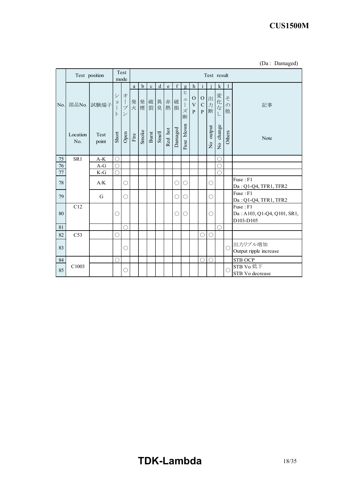|        |                 | Test position | Test<br>mode       |                                                    | Test result           |             |                |       |             |         |                                                          |                                                            |                                            |                          |                         |                         |                                                      |
|--------|-----------------|---------------|--------------------|----------------------------------------------------|-----------------------|-------------|----------------|-------|-------------|---------|----------------------------------------------------------|------------------------------------------------------------|--------------------------------------------|--------------------------|-------------------------|-------------------------|------------------------------------------------------|
|        |                 |               |                    |                                                    | a                     | $\mathbf b$ | $\mathbf{c}$   | d     | $\mathbf e$ | f       | $\mathbf{g}$                                             | h                                                          | $\mathbf{i}$                               |                          | $\bf k$                 | $\mathbf{1}$            |                                                      |
| No.    |                 | 部品No. 試験端子    | シ<br>日<br>$\vdash$ | 才<br>$\mathbf{I}$<br>プ<br>$\overline{\phantom{a}}$ | 発<br>火                |             | 発破異赤破<br>煙裂臭熱損 |       |             | 損       | ヒ<br>$\overline{\phantom{a}}$<br>$\mathcal{I}$<br>ズ<br>断 | $\mathcal{O}$<br>$\ensuremath{\mathbf{V}}$<br>$\mathbf{P}$ | $\mathcal{O}$<br>${\bf C}$<br>$\mathbf{P}$ | 出<br>万<br>断              | 変化<br>$\vec{z}$         | そ<br>$\mathcal{O}$<br>他 | 記事                                                   |
|        | Location<br>No. | Test<br>point | Short              | Open                                               | $\operatorname{Fire}$ | Smoke       | Burst          | Smell | Red hot     | Damaged | blown<br>Fuse                                            |                                                            |                                            | output<br>$\overline{S}$ | change<br>$\frac{1}{2}$ | Others                  | Note                                                 |
| 75     | SR1             | $A-K$         | O                  |                                                    |                       |             |                |       |             |         |                                                          |                                                            |                                            |                          | C                       |                         |                                                      |
| 76     |                 | $A-G$         | $\bigcirc$         |                                                    |                       |             |                |       |             |         |                                                          |                                                            |                                            |                          | C                       |                         |                                                      |
| $77\,$ |                 | $K-G$         | $\bigcirc$         |                                                    |                       |             |                |       |             |         |                                                          |                                                            |                                            |                          |                         |                         |                                                      |
| 78     |                 | A/K           |                    | O                                                  |                       |             |                |       |             | O       | О                                                        |                                                            |                                            | O                        |                         |                         | Fuse: F1<br>Da: Q1-Q4, TFR1, TFR2                    |
| 79     |                 | G             |                    | O                                                  |                       |             |                |       |             | О       | О                                                        |                                                            |                                            | O                        |                         |                         | Fuse: F1<br>Da: Q1-Q4, TFR1, TFR2                    |
| 80     | C12             |               | O                  |                                                    |                       |             |                |       |             | О       | $\bigcirc$                                               |                                                            |                                            | О                        |                         |                         | Fuse: F1<br>Da: A103, Q1-Q4, Q101, SR1,<br>D103-D105 |
| 81     |                 |               |                    |                                                    |                       |             |                |       |             |         |                                                          |                                                            |                                            |                          | C                       |                         |                                                      |
| 82     | C <sub>53</sub> |               | O                  |                                                    |                       |             |                |       |             |         |                                                          |                                                            | $\bigcirc$                                 | C                        |                         |                         |                                                      |
| 83     |                 |               |                    | O                                                  |                       |             |                |       |             |         |                                                          |                                                            |                                            |                          |                         | $\bigcirc$              | 出力リプル増加<br>Output ripple increase                    |
| 84     |                 |               | O                  |                                                    |                       |             |                |       |             |         |                                                          |                                                            | O                                          | ∩                        |                         |                         | <b>STB OCP</b>                                       |
| 85     | C1003           |               |                    | O                                                  |                       |             |                |       |             |         |                                                          |                                                            |                                            |                          |                         | $\bigcap$               | STB Vo低下<br>STB Vo decrease                          |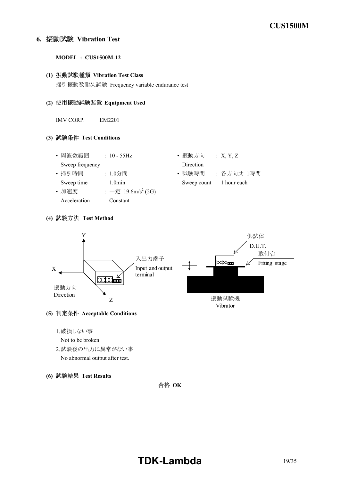### **6. Vibration Test**

#### **MODEL : CUS1500M-12**

## **(1) Vibration Test Class**

掃引振動数耐久試験 Frequency variable endurance test

#### **(2) Equipment Used**

IMV CORP. EM2201

#### **(3) Test Conditions**

- 周波数範囲 : 10 55Hz 振動方向 : X, Y, Z Sweep frequency Direction
- 
- 加速度 : 一定 19.6m/s<sup>2</sup> (2G) Acceleration Constant
- 
- 掃引時間 : 1.0分間 • 試験時間 : 各方向共 1時間 Sweep time 1.0min Sweep count 1 hour each

#### **(4) Test Method**



#### **(5) Acceptable Conditions**

1.破損しない事

Not to be broken.

- 2.試験後の出力に異常がない事 No abnormal output after test.
- **(6) Test Results**



# **TDK-Lambda** 19/35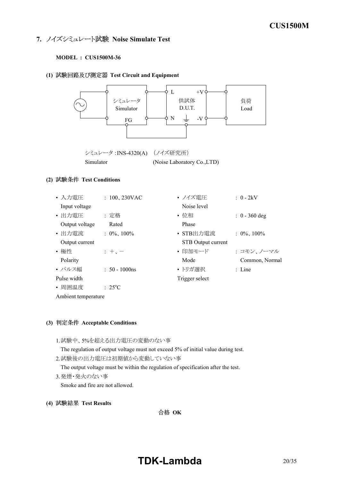### **7. ノイズシミュレート試験 Noise Simulate Test**

#### **MODEL : CUS1500M-36**

#### **(1) Test Circuit and Equipment**



#### **(3) Acceptable Conditions**

- 1.試験中、5%を超える出力電圧の変動のない事 The regulation of output voltage must not exceed 5% of initial value during test. 2.試験後の出力電圧は初期値から変動していない事
	- The output voltage must be within the regulation of specification after the test.
- 3.発煙・発火のない事

Smoke and fire are not allowed.

**(4) Test Results**

合格 OK

# **TDKLambda** 20/35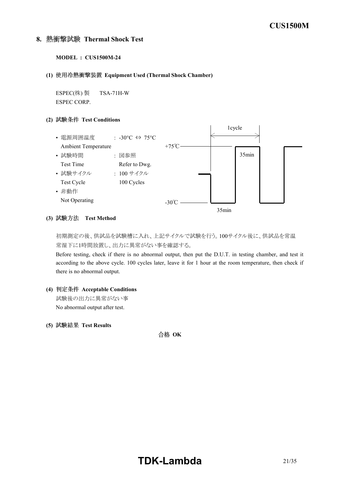#### **8. Thermal Shock Test**

```
MODEL : CUS1500M-24
```
**(1) Equipment Used (Thermal Shock Chamber)**

 $ESPEC$ (株) 製 TSA-71H-W ESPEC CORP.

#### **(2) Test Conditions**



#### **(3) Test Method**

初期測定の後、供試品を試験槽に入れ、上記サイクルで試験を行う。100サイクル後に、供試品を常温 常湿下に1時間放置し、出力に異常がない事を確認する。

Before testing, check if there is no abnormal output, then put the D.U.T. in testing chamber, and test it according to the above cycle. 100 cycles later, leave it for 1 hour at the room temperature, then check if there is no abnormal output.

- **(4) Acceptable Conditions** 試験後の出力に異常がない事 No abnormal output after test.
- **(5) Test Results**

合格 OK

# **TDK-Lambda** 21/35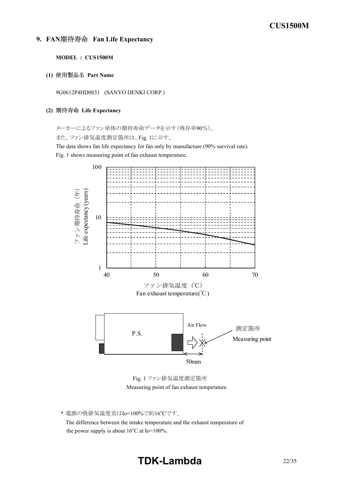#### **9. FAN Fan Life Expectancy**

**MODEL : CUS1500M**

**(1) Part Name**

9G0612P4HD0031 (SANYO DENKI CORP.)

#### **(2) Life Expectancy**

メーカーによるファン単体の期待寿命データを示す(残存率90%)。

また、ファン排気温度測定箇所は、Fig. 1に示す。

The data shows fan life expectancy for fan only by manufacture (90% survival rate). Fig. 1 shows measuring point of fan exhaust temperature.



Fig. 1 ファン排気温度測定箇所 Measuring point of fan exhaust temperature.

\* 電源の吸排気温度差はIo=100%で約16°Cです。 The difference between the intake temperature and the exhaust temperature of the power supply is about  $16^{\circ}$ C at Io=100%.

# **TDKLambda** 22/35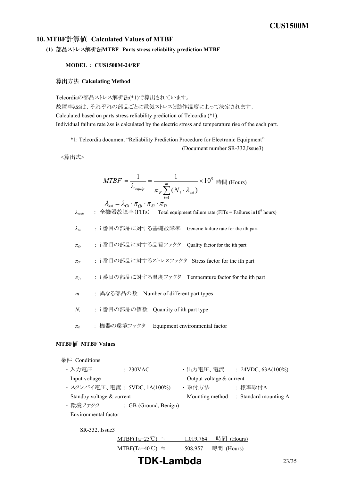#### **10. MTBF Calculated Values of MTBF**

```
(1) MTBF Parts stress reliability prediction MTBF
```
#### **MODEL : CUS1500M-24/RF**

#### **算出方法 Calculating Method**

Telcordiaの部品ストレス解析法(\*1)で算出されています。 故障率λSSは、それぞれの部品ごとに電気ストレスと動作温度によって決定されます。 Calculated based on parts stress reliability prediction of Telcordia (\*1). Individual failure rate λss is calculated by the electric stress and temperature rise of the each part.

\*1: Telcordia document "Reliability Prediction Procedure for Electronic Equipment"

(Document number SR-332, Issue3)

<算出式>

$$
MTBF = \frac{1}{\lambda_{\text{equip}}} = \frac{1}{\pi_E \sum_{i=1}^{m} (N_i \cdot \lambda_{\text{ssi}})} \times 10^9 \text{ [Hours]}
$$

*λequip* : 全機器故障率(FITs) Total equipment failure rate (FITs = Failures in10<sup>9</sup> hours) *λGi* : i 番目の部品に対する基礎故障率 Generic failure rate for the ith part *πQi* : i 番目の部品に対する品質ファクタ Quality factor for the ith part *πSi* : i 番目の部品に対するストレスファクタ Stress factor for the ith part *πTi* : i 番目の部品に対する温度ファクタ Temperature factor for the ith part *m* : 異なる部品の数 Number of different part types *N<sup>i</sup>* : i 番目の部品の個数 Quantity of ith part type *π<sup>E</sup>* : 機器の環境ファクタ Equipment environmental factor  $\lambda_{\scriptscriptstyle{ssi}} = \lambda_{\scriptscriptstyle{Gi}} \cdot \pi_{\scriptscriptstyle{Qi}} \cdot \pi_{\scriptscriptstyle{Si}} \cdot \pi_{\scriptscriptstyle{Ti}}$ 

### **MTBF MTBF Values**

| 条件 Conditions             |                              |                            |                                       |
|---------------------------|------------------------------|----------------------------|---------------------------------------|
| ・入力雷圧                     | : 230VAC                     | ・出力電圧、電流                   | : $24VDC, 63A(100\%)$                 |
| Input voltage             |                              | Output voltage $&$ current |                                       |
|                           | ・スタンバイ電圧、電流 : 5VDC, 1A(100%) | ・取付方法                      | :標準取付A                                |
| Standby voltage & current |                              |                            | Mounting method : Standard mounting A |
| ・環境ファクタ                   | : GB (Ground, Benign)        |                            |                                       |
| Environmental factor      |                              |                            |                                       |
| $SR-332$ , Issue3         |                              |                            |                                       |
|                           | $MTBF(Ta=25^{\circ}C)$<br>≒  | 時間<br>1.019.764            | (Hours)                               |
|                           | $MTBF(Ta=40)$                | 時間<br>508,957              | (Hours)                               |
|                           |                              |                            |                                       |

**TDKLambda** 23/35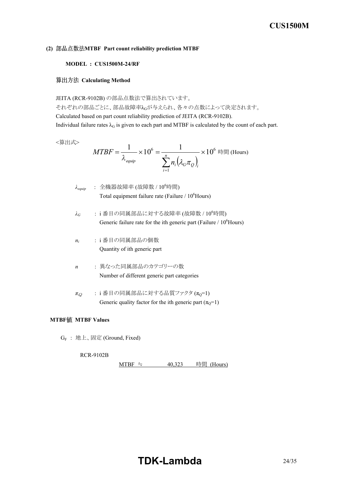#### **(2) MTBF Part count reliability prediction MTBF**

#### **MODEL : CUS1500M-24/RF**

#### **Calculating Method**

JEITA (RCR-9102B) の部品点数法で算出されています。

それぞれの部品ごとに、部品故障率λGが与えられ、各々の点数によって決定されます。 Calculated based on part count reliability prediction of JEITA (RCR-9102B). Individual failure rates  $\lambda_G$  is given to each part and MTBF is calculated by the count of each part.

<算出式>

$$
MTBF = \frac{1}{\lambda_{\text{equiv}}} \times 10^6 = \frac{1}{\sum_{i=1}^n n_i (\lambda_G \pi_Q)_i} \times 10^6 \text{ H}
$$
 (Hours)

| $\lambda_{equip}$ | : 全機器故障率 (故障数 / $10^6$ 時間)                                     |
|-------------------|----------------------------------------------------------------|
|                   | Total equipment failure rate (Failure / 10 <sup>6</sup> Hours) |

- $\lambda$ <sup>G</sup>: i番目の同属部品に対する故障率 (故障数 / 10<sup>6</sup>時間) Generic failure rate for the ith generic part (Failure  $/ 10^6$ Hours)
- *ni* : i 番目の同属部品の個数 Quantity of ith generic part
- *n* : 異なった同属部品のカテゴリーの数 Number of different generic part categories
- $\pi_Q$  : i番目の同属部品に対する品質ファクタ ( $\pi_Q$ =1) Generic quality factor for the ith generic part  $(\pi_Q=1)$

#### **MTBF MTBF Values**

G<sup>F</sup> : 地上、固定 (Ground, Fixed)

**RCR-9102B** 

MTBF ≒  $40,323$  時間 (Hours)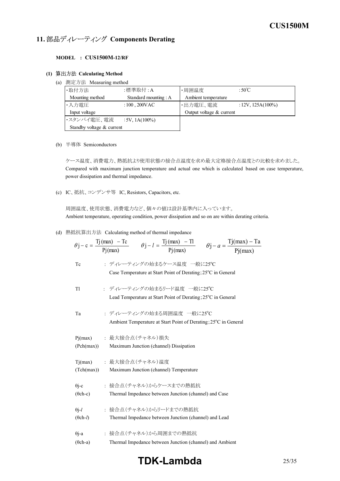# 11. 部品ディレーティング Components Derating

#### **MODEL : CUS1500M12/RF**

#### **(1) Calculating Method**

(a) 測定方法 Measuring method

| ·取付方法                     | :標準取付:A                    | ・周囲温度                    | : $50^{\circ}$ C     |
|---------------------------|----------------------------|--------------------------|----------------------|
| Mounting method           | Standard mounting : A      | Ambient temperature      |                      |
| ・入力雷圧                     | : $100$ , $200 \text{VAC}$ | ・出力電圧、電流                 | $: 12V, 125A(100\%)$ |
| Input voltage             |                            | Output voltage & current |                      |
| ・スタンバイ電圧、電流               | $:5V, 1A(100\%)$           |                          |                      |
| Standby voltage & current |                            |                          |                      |

(b) 半導体 Semiconductors

ケース温度、消費電力、熱抵抗より使用状態の接合点温度を求め最大定格接合点温度との比較を求めました。 Compared with maximum junction temperature and actual one which is calculated based on case temperature, power dissipation and thermal impedance.

(c) IC、抵抗、コンデンサ等 IC, Resistors, Capacitors, etc.

周囲温度、使用状態、消費電力など、個々の値は設計基準内に入っています。 Ambient temperature, operating condition, power dissipation and so on are within derating criteria.

(d) 熱抵抗算出方法 Calculating method of thermal impedance

|                          | $\theta j - c = \frac{Tj(max) - Tc}{Pj(max)}$ $\theta j - l = \frac{Tj(max) - Tl}{Pj(max)}$ $\theta j - a = \frac{Tj(max) - Ta}{Pj(max)}$ |
|--------------------------|-------------------------------------------------------------------------------------------------------------------------------------------|
|                          |                                                                                                                                           |
| Tc                       | : ディレーティングの始まるケース温度 一般に25°C                                                                                                               |
|                          | Case Temperature at Start Point of Derating; 25 <sup>°</sup> C in General                                                                 |
| T1                       | : ディレーティングの始まるリード温度 一般に25°C                                                                                                               |
|                          | Lead Temperature at Start Point of Derating; 25 <sup>o</sup> C in General                                                                 |
| Ta                       | : ディレーティングの始まる周囲温度 一般に25℃                                                                                                                 |
|                          | Ambient Temperature at Start Point of Derating; 25°C in General                                                                           |
| Pj(max)                  | : 最大接合点(チャネル)損失                                                                                                                           |
| (Pch(max))               | Maximum Junction (channel) Dissipation                                                                                                    |
| Tj(max)                  | : 最大接合点 (チャネル)温度                                                                                                                          |
| (Tch(max))               | Maximum Junction (channel) Temperature                                                                                                    |
| $\theta$ j-c             | : 接合点(チャネル)からケースまでの熱抵抗                                                                                                                    |
| $(\theta$ ch-c)          | Thermal Impedance between Junction (channel) and Case                                                                                     |
| $\theta$ j-l             | : 接合点(チャネル)からリードまでの熱抵抗                                                                                                                    |
| $(\theta$ ch- <i>l</i> ) | Thermal Impedance between Junction (channel) and Lead                                                                                     |
| $\theta$ j-a             | : 接合点(チャネル)から周囲までの熱抵抗                                                                                                                     |
| $(\theta$ ch-a)          | Thermal Impedance between Junction (channel) and Ambient                                                                                  |

# **TDKLambda** 25/35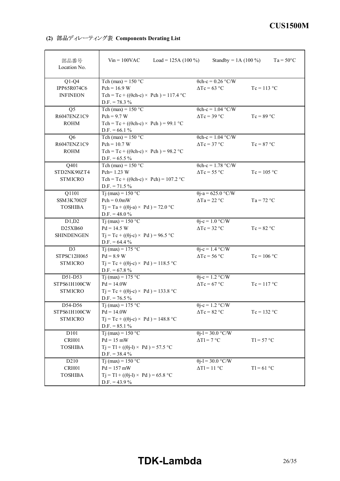|  | (2) 部品ディレーティング表 Components Derating List |  |  |
|--|------------------------------------------|--|--|
|--|------------------------------------------|--|--|

| 部品番号<br>Location No. | $Vin = 100VAC$<br>Load = 125A $(100\%)$           | Standby = $1A(100\%)$      | $Ta = 50^{\circ}C$ |
|----------------------|---------------------------------------------------|----------------------------|--------------------|
| $Q1-Q4$              | Tch (max) = $150 °C$                              | $\theta$ ch-c = 0.26 °C/W  |                    |
| IPP65R074C6          | $Pch = 16.9 W$                                    | $\Delta Tc = 63$ °C        | $Tc = 113 °C$      |
| <b>INFINEON</b>      | Tch = Tc + (( $\theta$ ch-c) × Pch) = 117.4 °C    |                            |                    |
|                      | $D.F. = 78.3 %$                                   |                            |                    |
| Q <sub>5</sub>       | Tch (max) = $150 °C$                              | $\theta$ ch-c = 1.04 °C/W  |                    |
| R6047ENZ1C9          | $Pch = 9.7 W$                                     | $\Delta Tc = 39$ °C        | $Tc = 89 °C$       |
| <b>ROHM</b>          | Tch = Tc + (( $\theta$ ch-c) × Pch) = 99.1 °C     |                            |                    |
|                      | $D.F. = 66.1 %$                                   |                            |                    |
| Q <sub>6</sub>       | Tch (max) = $150 °C$                              | $\theta$ ch-c = 1.04 °C/W  |                    |
| R6047ENZ1C9          | $Pch = 10.7 W$                                    | $\Delta Tc = 37$ °C        | $Tc = 87 °C$       |
| <b>ROHM</b>          | Tch = Tc + (( $\theta$ ch-c) × Pch) = 98.2 °C     |                            |                    |
|                      | $D.F. = 65.5 \%$                                  |                            |                    |
| Q401                 | Tch (max) = $150 °C$                              | $\theta$ ch-c = 1.78 °C/W  |                    |
| STD2NK90ZT4          | Pch= 1.23 W                                       | $\Delta Tc = 55 \degree C$ | $Tc = 105 °C$      |
| <b>STMICRO</b>       | Tch = Tc + (( $\theta$ ch-c) × Pch) = 107.2 °C    |                            |                    |
|                      | $D.F. = 71.5 \%$                                  |                            |                    |
| Q1101                | $Ti$ (max) = 150 °C                               | $\theta$ j-a = 625.0 °C/W  |                    |
| <b>SSM3K7002F</b>    | $Pch = 0.0mW$                                     | $\Delta$ Ta = 22 °C        | $Ta = 72 °C$       |
| <b>TOSHIBA</b>       | $Tj = Ta + ((\theta j - a) \times Pd) = 72.0 °C$  |                            |                    |
| D1,D2                | $D.F. = 48.0 %$<br>Tj (max) = $150 °C$            | $\theta$ j-c = 1.0 °C/W    |                    |
| D25XB60              | $Pd = 14.5 W$                                     | $\Delta Tc = 32 \degree C$ | $Tc = 82 °C$       |
| <b>SHINDENGEN</b>    | $Tj = Tc + ((\theta j - c) \times Pd) = 96.5$ °C  |                            |                    |
|                      | $D.F. = 64.4 \%$                                  |                            |                    |
| D <sub>3</sub>       | Tj (max) = $175 °C$                               | $\theta$ j-c = 1.4 °C/W    |                    |
| STPSC12H065          | $Pd = 8.9 W$                                      | $\Delta Tc = 56 °C$        | $Tc = 106 °C$      |
| <b>STMICRO</b>       | $Tj = Tc + ((\theta j - c) \times Pd) = 118.5 °C$ |                            |                    |
|                      | $D.F. = 67.8 \%$                                  |                            |                    |
| D51-D53              | Tj (max) = $175 °C$                               | $\theta$ j-c = 1.2 °C/W    |                    |
| STPS61H100CW         | $Pd = 14.0W$                                      | $\Delta Tc = 67$ °C        | $Tc = 117 °C$      |
| <b>STMICRO</b>       | $Tj = Tc + ((\theta j - c) \times Pd) = 133.8$ °C |                            |                    |
|                      | $D.F. = 76.5 %$                                   |                            |                    |
| D54-D56              | Tj (max) = $175 °C$                               | $\theta$ j-c = 1.2 °C/W    |                    |
| STPS61H100CW         | $Pd = 14.0W$                                      | $\Delta Tc = 82 °C$        | $Tc = 132 °C$      |
| <b>STMICRO</b>       | $Tj = Tc + ((\theta j - c) \times Pd) = 148.8$ °C |                            |                    |
|                      | $D.F. = 85.1 \%$                                  |                            |                    |
| D101                 | $Tj$ (max) = 150 °C                               | $\theta$ j-l = 30.0 °C/W   |                    |
| CRH01                | $Pd = 15$ mW                                      | $\Delta T l = 7$ °C        | $T = 57 °C$        |
| <b>TOSHIBA</b>       | $Tj = T1 + ((\theta j - 1) \times Pd) = 57.5 °C$  |                            |                    |
|                      | $D.F. = 38.4 %$                                   |                            |                    |
| D210                 | $Ti$ (max) = 150 °C                               | $\theta$ j-l = 30.0 °C/W   |                    |
| CRH01                | $Pd = 157$ mW                                     | $\Delta T1 = 11$ °C        | $T1 = 61$ °C       |
| <b>TOSHIBA</b>       | $Tj = T1 + ((\theta j - 1) \times Pd) = 65.8$ °C  |                            |                    |
|                      | $D.F. = 43.9 \%$                                  |                            |                    |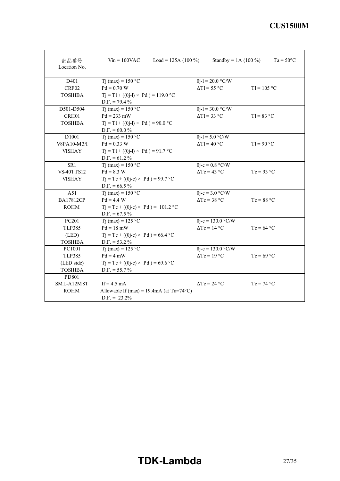| 部品番号<br>Location No. | $V_{in} = 100$ VAC<br>Load = 125A $(100\%)$        | Standby = 1A $(100\%)$     | $Ta = 50^{\circ}C$ |
|----------------------|----------------------------------------------------|----------------------------|--------------------|
| D401                 | $Ti$ (max) = 150 °C                                | $\theta$ j-l = 20.0 °C/W   |                    |
| CRF02                | $Pd = 0.70 W$                                      | $\Delta T1 = 55$ °C        | $T1 = 105 °C$      |
| <b>TOSHIBA</b>       | $Tj = T1 + ((\theta j - 1) \times Pd) = 119.0$ °C  |                            |                    |
|                      | $D.F. = 79.4 %$                                    |                            |                    |
| D501-D504            | $Ti$ (max) = 150 °C                                | $\theta$ j-l = 30.0 °C/W   |                    |
| CRH01                | $Pd = 233$ mW                                      | $\Delta T l = 33$ °C       | $T1 = 83 °C$       |
| <b>TOSHIBA</b>       | $Tj = T1 + ((\theta j - 1) \times Pd) = 90.0$ °C   |                            |                    |
|                      | $D.F. = 60.0 %$                                    |                            |                    |
| D <sub>1001</sub>    | $Tj$ (max) = 150 °C                                | $\theta$ j-l = 5.0 °C/W    |                    |
| V8PA10-M3/I          | $Pd = 0.33 W$                                      | $\Delta T1 = 40$ °C        | $T1 = 90 °C$       |
| <b>VISHAY</b>        | $Tj = T1 + ((\theta j - 1) \times Pd) = 91.7$ °C   |                            |                    |
|                      | $D.F. = 61.2 \%$                                   |                            |                    |
| SR1                  | $Ti$ (max) = 150 °C                                | $\theta$ j-c = 0.8 °C/W    |                    |
| <b>VS-40TTS12</b>    | $Pd = 8.3 W$                                       | $\Delta Tc = 43$ °C        | $Tc = 93 °C$       |
| <b>VISHAY</b>        | $Tj = Tc + ((\theta j - c) \times Pd) = 99.7$ °C   |                            |                    |
|                      | $D.F. = 66.5 \%$                                   |                            |                    |
| A51                  | $Ti$ (max) = 150 °C                                | $\theta$ j-c = 3.0 °C/W    |                    |
| <b>BA17812CP</b>     | $Pd = 4.4 W$                                       | $\Delta Tc = 38$ °C        | $Tc = 88 °C$       |
| <b>ROHM</b>          | $Tj = Tc + ((\theta j - c) \times Pd) = 101.2$ °C  |                            |                    |
|                      | $D.F. = 67.5 \%$                                   |                            |                    |
| PC <sub>201</sub>    | T <sub>j</sub> (max) = $125$ °C                    | $\theta$ j-c = 130.0 °C/W  |                    |
| <b>TLP385</b>        | $Pd = 18$ mW                                       | $\Delta Tc = 14 °C$        | $Tc = 64$ °C       |
| (LED)                | $Tj = Tc + ((\theta j - c) \times Pd) = 66.4$ °C   |                            |                    |
| <b>TOSHIBA</b>       | $D.F. = 53.2 \%$                                   |                            |                    |
| PC1001               | $Ti$ (max) = 125 °C                                | $\theta$ j-c = 130.0 °C/W  |                    |
| <b>TLP385</b>        | $Pd = 4$ mW                                        | $\Delta Tc = 19 \degree C$ | $Tc = 69$ °C       |
| (LED side)           | $Tj = Tc + ((\theta j - c) \times Pd) = 69.6$ °C   |                            |                    |
| <b>TOSHIBA</b>       | $D.F. = 55.7 \%$                                   |                            |                    |
| PD801                |                                                    |                            |                    |
| SML-A12M8T           | If $= 4.5$ mA                                      | $\Delta Tc = 24$ °C        | $Tc = 74 °C$       |
| <b>ROHM</b>          | Allowable If (max) = 19.4mA (at $Ta=74^{\circ}C$ ) |                            |                    |
|                      | $D.F. = 23.2\%$                                    |                            |                    |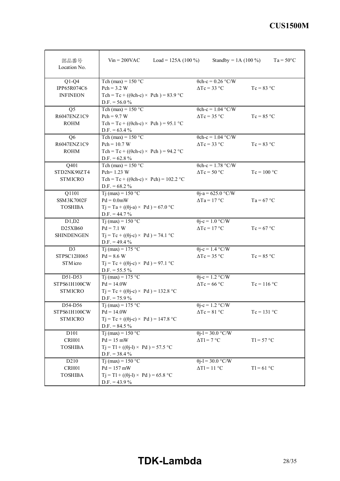| 部品番号<br>Location No. | $V_{in} = 200$ VAC<br>Load = 125A $(100\%)$       | Standby = $1A(100\%)$     | $Ta = 50^{\circ}C$ |
|----------------------|---------------------------------------------------|---------------------------|--------------------|
| $Q1-Q4$              | Tch (max) = $150$ °C                              | $\theta$ ch-c = 0.26 °C/W |                    |
| IPP65R074C6          | $Pch = 3.2 W$                                     | $\Delta Tc = 33$ °C       | $Tc = 83 °C$       |
| <b>INFINEON</b>      | Tch = Tc + (( $\theta$ ch-c) × Pch) = 83.9 °C     |                           |                    |
|                      | $D.F. = 56.0 %$                                   |                           |                    |
| Q <sub>5</sub>       | Tch (max) = $150 °C$                              | $\theta$ ch-c = 1.04 °C/W |                    |
| R6047ENZ1C9          | $Pch = 9.7 W$                                     | $\Delta Tc = 35$ °C       | $Tc = 85 °C$       |
| <b>ROHM</b>          | Tch = Tc + (( $\theta$ ch-c) × Pch) = 95.1 °C     |                           |                    |
|                      | $D.F. = 63.4 %$                                   |                           |                    |
| Q6                   | Tch (max) = $150 °C$                              | $\theta$ ch-c = 1.04 °C/W |                    |
| R6047ENZ1C9          | $Pch = 10.7 W$                                    | $\Delta Tc = 33$ °C       | $Tc = 83 °C$       |
| <b>ROHM</b>          | Tch = Tc + (( $\theta$ ch-c) × Pch) = 94.2 °C     |                           |                    |
|                      | $D.F. = 62.8 \%$                                  |                           |                    |
| Q401                 | Tch (max) = $150 °C$                              | $\theta$ ch-c = 1.78 °C/W |                    |
| STD2NK90ZT4          | Pch= 1.23 W                                       | $\Delta Tc = 50$ °C       | $Tc = 100 °C$      |
| <b>STMICRO</b>       | Tch = Tc + (( $\theta$ ch-c) × Pch) = 102.2 °C    |                           |                    |
|                      | $D.F. = 68.2 \%$                                  |                           |                    |
| Q1101                | $Ti$ (max) = 150 °C                               | $\theta$ j-a = 625.0 °C/W |                    |
| <b>SSM3K7002F</b>    | $Pd = 0.0mW$                                      | $\Delta$ Ta = 17 °C       | $Ta = 67 °C$       |
| <b>TOSHIBA</b>       | $Tj = Ta + ((\theta j - a) \times Pd) = 67.0 °C$  |                           |                    |
|                      | $D.F. = 44.7 %$                                   |                           |                    |
| D1,D2                | Tj (max) = $150 °C$                               | $\theta$ j-c = 1.0 °C/W   |                    |
| D25XB60              | $Pd = 7.1 W$                                      | $\Delta Tc = 17$ °C       | $Tc = 67$ °C       |
| <b>SHINDENGEN</b>    | $Tj = Tc + ((\theta j - c) \times Pd) = 74.1$ °C  |                           |                    |
|                      | $D.F. = 49.4 %$                                   |                           |                    |
| D <sub>3</sub>       | Tj (max) = $175$ °C                               | $\theta$ j-c = 1.4 °C/W   |                    |
| STPSC12H065          | $Pd = 8.6 W$                                      | $\Delta Tc = 35$ °C       | $Tc = 85 °C$       |
| STM icro             | $Tj = Tc + ((\theta j - c) \times Pd) = 97.1$ °C  |                           |                    |
|                      | $D.F. = 55.5 \%$                                  |                           |                    |
| D51-D53              | Tj (max) = $175 °C$                               | $\theta$ j-c = 1.2 °C/W   |                    |
| STPS61H100CW         | $Pd = 14.0W$                                      | $\Delta Tc = 66$ °C       | $Tc = 116$ °C      |
| <b>STMICRO</b>       | $Tj = Tc + ((\theta j - c) \times Pd) = 132.8 °C$ |                           |                    |
|                      | $D.F. = 75.9 \%$                                  |                           |                    |
| D54-D56              | Tj (max) = $175 °C$                               | $\theta$ j-c = 1.2 °C/W   |                    |
| STPS61H100CW         | $Pd = 14.0W$                                      | $\Delta Tc = 81$ °C       | $Tc = 131 °C$      |
| <b>STMICRO</b>       | $Tj = Tc + ((\theta j - c) \times Pd) = 147.8$ °C |                           |                    |
|                      | $D.F. = 84.5 \%$                                  |                           |                    |
| D101                 | Tj (max) = $150 °C$                               | $\theta$ j-l = 30.0 °C/W  |                    |
| CRH01                | $Pd = 15$ mW                                      | $\Delta T1 = 7$ °C        | $T = 57 °C$        |
| <b>TOSHIBA</b>       | $Tj = T1 + ((\theta j - 1) \times Pd) = 57.5 °C$  |                           |                    |
|                      | $D.F. = 38.4 %$                                   |                           |                    |
| D210                 | Tj (max) = $150 °C$                               | $\theta$ j-l = 30.0 °C/W  |                    |
| CRH01                | $Pd = 157$ mW                                     | $\Delta T l = 11$ °C      | $T1 = 61$ °C       |
| <b>TOSHIBA</b>       | $Tj = T1 + ((\theta j - 1) \times Pd) = 65.8$ °C  |                           |                    |
|                      | $D.F. = 43.9 %$                                   |                           |                    |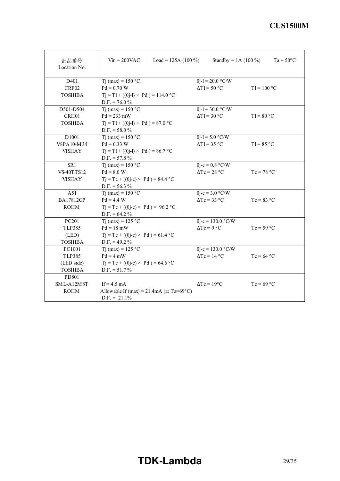| 部品番号<br>Location No. | $V_{in} = 200$ VAC<br>Load = 125A $(100\%)$        | Standby = 1A $(100\%)$    | $Ta = 50^{\circ}C$ |
|----------------------|----------------------------------------------------|---------------------------|--------------------|
| D401                 | $Ti$ (max) = 150 °C                                | $\theta$ j-l = 20.0 °C/W  |                    |
| CRF02                | $Pd = 0.70 W$                                      | $\Delta T l = 50$ °C      | $T1 = 100 °C$      |
| <b>TOSHIBA</b>       | $T_1 = T1 + ((\theta_1 - 1) \times Pd) = 114.0$ °C |                           |                    |
|                      | $D.F. = 76.0 %$                                    |                           |                    |
| D501-D504            | $Ti$ (max) = 150 °C                                | $\theta$ j-l = 30.0 °C/W  |                    |
| CRH01                | $Pd = 233$ mW                                      | $\Delta T l = 30 °C$      | $T1 = 80 °C$       |
| <b>TOSHIBA</b>       | $Tj = T1 + ((\theta j - 1) \times Pd) = 87.0$ °C   |                           |                    |
|                      | $D.F. = 58.0 %$                                    |                           |                    |
| D <sub>1001</sub>    | Tj (max) = $150 °C$                                | $\theta$ j-l = 5.0 °C/W   |                    |
| V8PA10-M3/I          | $Pd = 0.33 W$                                      | $\Delta T1 = 35$ °C       | $T1 = 85 °C$       |
| <b>VISHAY</b>        | $Tj = T1 + ((\theta j - 1) \times Pd) = 86.7$ °C   |                           |                    |
|                      | $D.F. = 57.8 \%$                                   |                           |                    |
| SR1                  | $Ti$ (max) = 150 °C                                | $\theta$ j-c = 0.8 °C/W   |                    |
| <b>VS-40TTS12</b>    | $Pd = 8.0 W$                                       | $\Delta Tc = 28 °C$       | $Tc = 78 °C$       |
| <b>VISHAY</b>        | $Tj = Tc + ((\theta j - c) \times Pd) = 84.4$ °C   |                           |                    |
|                      | $D.F. = 56.3 %$                                    |                           |                    |
| A51                  | $Ti$ (max) = 150 °C                                | $\theta$ j-c = 3.0 °C/W   |                    |
| <b>BA17812CP</b>     | $Pd = 4.4 W$                                       | $\Delta Tc = 33$ °C       | $Tc = 83 °C$       |
| <b>ROHM</b>          | $Tj = Tc + ((\theta j - c) \times Pd) = 96.2$ °C   |                           |                    |
|                      | $D.F. = 64.2 \%$                                   |                           |                    |
| PC201                | T <sub>j</sub> (max) = $125$ °C                    | $\theta$ j-c = 130.0 °C/W |                    |
| <b>TLP385</b>        | $Pd = 18$ mW                                       | $\Delta Tc = 9$ °C        | $Tc = 59 °C$       |
| (LED)                | $Tj = Tc + ((\theta j - c) \times Pd) = 61.4$ °C   |                           |                    |
| <b>TOSHIBA</b>       | $D.F. = 49.2 \%$                                   |                           |                    |
| PC1001               | $Ti$ (max) = 125 °C                                | $\theta$ j-c = 130.0 °C/W |                    |
| <b>TLP385</b>        | $Pd = 4$ mW                                        | $\Delta Tc = 14$ °C       | $Tc = 64 °C$       |
| (LED side)           | $Tj = Tc + ((\theta j - c) \times Pd) = 64.6$ °C   |                           |                    |
| <b>TOSHIBA</b>       | $D.F. = 51.7 %$                                    |                           |                    |
| PD801                |                                                    |                           |                    |
| SML-A12M8T           | If $= 4.5$ mA                                      | $\Delta Tc = 19^{\circ}C$ | $Tc = 69 °C$       |
| <b>ROHM</b>          | Allowable If (max) = $21.4 \text{mA}$ (at Ta=69°C) |                           |                    |
|                      | $D.F. = 21.1\%$                                    |                           |                    |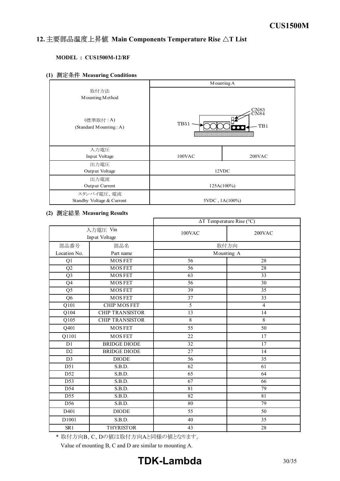#### *INSTRUCTION MANUAL* 12. 主要部品温度上昇值 Main Components Temperature Rise AT List

### **MODEL : CUS1500M-12/RF**

**(1) Measuring Conditions**

|                                      | Mounting A                                                               |        |
|--------------------------------------|--------------------------------------------------------------------------|--------|
| 取付方法                                 |                                                                          |        |
| Mounting Method                      |                                                                          |        |
| (標準取付 : A)<br>(Standard Mounting: A) | $\underset{\text{C} \text{N} 8 4}{\text{C} \text{N} 8 4}$<br>TB51<br>TB1 |        |
| 入力電圧                                 |                                                                          |        |
| Input Voltage                        | $100$ VAC                                                                | 200VAC |
| 出力電圧                                 |                                                                          |        |
| Output Voltage                       | 12VDC                                                                    |        |
| 出力電流                                 |                                                                          |        |
| Output Current                       | $125A(100\%)$                                                            |        |
| スタンバイ電圧、電流                           |                                                                          |        |
| Standby Voltage & Current            | $5VDC$ , $1A(100\%)$                                                     |        |

#### **(2) Measuring Results**

|                           |                        | $\Delta T$ Temperature Rise (°C) |                 |
|---------------------------|------------------------|----------------------------------|-----------------|
| 入力電圧 Vin<br>Input Voltage |                        | 100VAC                           | 200VAC          |
| 部品番号                      | 部品名                    |                                  | 取付方向            |
| Location No.              | Part name              | Mounting A                       |                 |
| Q1                        | <b>MOSFET</b>          | 56                               | 28              |
| Q2                        | <b>MOSFET</b>          | 56                               | 28              |
| Q <sub>3</sub>            | <b>MOSFET</b>          | 63                               | 33              |
| Q4                        | <b>MOSFET</b>          | $\overline{56}$                  | $\overline{30}$ |
| Q5                        | <b>MOSFET</b>          | 39                               | 35              |
| $\overline{Q6}$           | <b>MOSFET</b>          | 37                               | 33              |
| $\overline{Q101}$         | <b>CHIP MOSFET</b>     | 5                                | $\overline{4}$  |
| $\overline{Q104}$         | <b>CHIP TRANSISTOR</b> | $\overline{13}$                  | $\overline{14}$ |
| $\overline{Q105}$         | <b>CHIP TRANSISTOR</b> | $\overline{8}$                   | 8               |
| Q401                      | <b>MOSFET</b>          | 55                               | 50              |
| Q1101                     | <b>MOSFET</b>          | 22                               | 17              |
| D1                        | <b>BRIDGE DIODE</b>    | 32                               | 17              |
| D <sub>2</sub>            | <b>BRIDGE DIODE</b>    | $\overline{27}$                  | 14              |
| D <sub>3</sub>            | <b>DIODE</b>           | 56                               | 35              |
| $\overline{D51}$          | S.B.D.                 | 62                               | 61              |
| D52                       | S.B.D.                 | 65                               | 64              |
| $\overline{D53}$          | S.B.D.                 | $\overline{67}$                  | 66              |
| $\overline{D54}$          | S.B.D.                 | 81                               | 79              |
| $\overline{D55}$          | S.B.D.                 | 82                               | 81              |
| D56                       | S.B.D.                 | 80                               | 79              |
| D401                      | <b>DIODE</b>           | 55                               | 50              |
| D1001                     | S.B.D.                 | 40                               | 35              |
| SR1                       | <b>THYRISTOR</b>       | $\overline{43}$                  | $\overline{28}$ |

\* 取付方向B、C、Dの値は取付方向Aと同様の値となります。

Value of mounting B, C and D are similar to mounting A.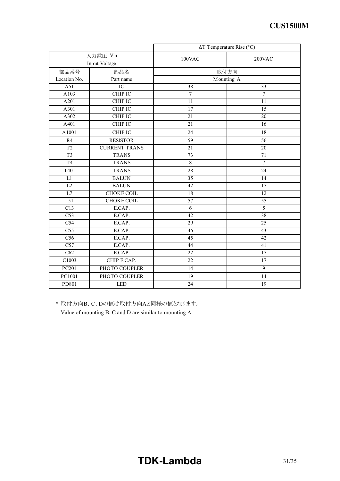|                  |                      | $\Delta T$ Temperature Rise (°C) |                 |
|------------------|----------------------|----------------------------------|-----------------|
| 入力電圧 Vin         |                      | 100VAC                           | 200VAC          |
| Input Voltage    |                      |                                  |                 |
| 部品番号             | 部品名                  |                                  | 取付方向            |
| Location No.     | Part name            |                                  | Mounting A      |
| A51              | $\overline{IC}$      | 38                               | 33              |
| A103             | <b>CHIP IC</b>       | $\overline{7}$                   | $\overline{7}$  |
| A201             | <b>CHIP IC</b>       | $\overline{11}$                  | $\overline{11}$ |
| A301             | <b>CHIP IC</b>       | $\overline{17}$                  | 15              |
| A302             | CHIP IC              | 21                               | 20              |
| A401             | CHIP IC              | 21                               | 16              |
| A1001            | CHIP IC              | 24                               | 18              |
| R4               | <b>RESISTOR</b>      | $\overline{59}$                  | $\overline{56}$ |
| $\overline{T2}$  | <b>CURRENT TRANS</b> | 21                               | $\overline{20}$ |
| $\overline{T3}$  | <b>TRANS</b>         | 73                               | 71              |
| T <sub>4</sub>   | <b>TRANS</b>         | $\,8\,$                          | $\overline{7}$  |
| T401             | <b>TRANS</b>         | $\overline{28}$                  | 24              |
| L1               | <b>BALUN</b>         | 35                               | 14              |
| L2               | <b>BALUN</b>         | 42                               | 17              |
| L7               | <b>CHOKE COIL</b>    | $\overline{18}$                  | $\overline{12}$ |
| $\overline{L51}$ | <b>CHOKE COIL</b>    | 57                               | $\overline{55}$ |
| C13              | E.CAP.               | 6                                | 5               |
| C53              | E.CAP.               | $\overline{42}$                  | $\overline{38}$ |
| C54              | E.CAP.               | 29                               | $\overline{25}$ |
| C <sub>55</sub>  | E.CAP.               | 46                               | $\overline{43}$ |
| $\overline{C56}$ | E.CAP.               | $\overline{45}$                  | $\overline{42}$ |
| $\overline{C57}$ | E.CAP.               | 44                               | 41              |
| C62              | E.CAP.               | 22                               | $\overline{17}$ |
| C1003            | CHIP E.CAP.          | 22                               | 17              |
| PC201            | PHOTO COUPLER        | 14                               | 9               |
| PC1001           | PHOTO COUPLER        | 19                               | 14              |
| PD801            | <b>LED</b>           | 24                               | $\overline{19}$ |

\* 取付方向B、C、Dの値は取付方向Aと同様の値となります。

Value of mounting B, C and D are similar to mounting A.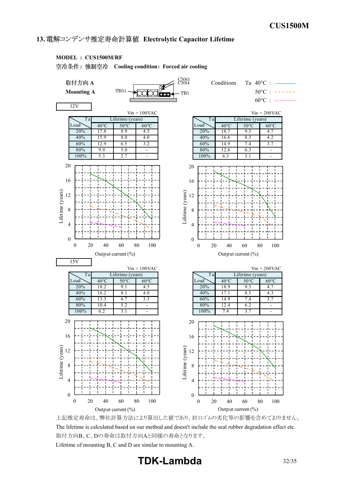### 13. 電解コンデンサ推定寿命計算値 Electrolytic Capacitor Lifetime

#### **MODEL : CUS1500M/RF**

**: Cooling condition: Forced air cooling**



上記推定寿命は、弊社計算方法により算出した値であり、封口ゴムの劣化等の影響を含めておりません。 The lifetime is calculated based on our method and doesn't include the seal rubber degradation effect etc. 取付方向B、C、Dの寿命は取付方向Aと同様の寿命となります。 Lifetime of mounting B, C and D are similar to mounting A.

**TDKLambda** 32/35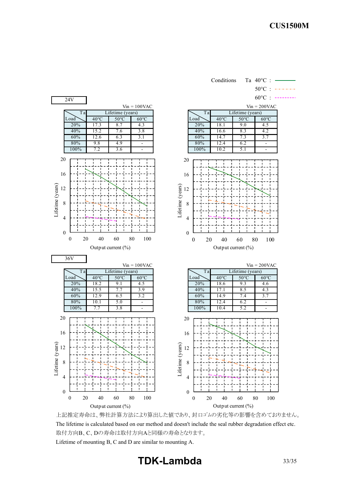

上記推定寿命は、弊社計算方法により算出した値であり、封口ゴムの劣化等の影響を含めておりません。 The lifetime is calculated based on our method and doesn't include the seal rubber degradation effect etc. 取付方向B、C、Dの寿命は取付方向Aと同様の寿命となります。 Lifetime of mounting B, C and D are similar to mounting A.

**TDK-Lambda** 33/35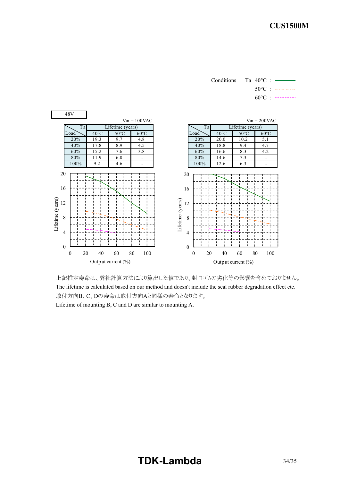Conditions Ta 40°C : 50°C :

 $60^{\circ}$ C : --------



上記推定寿命は、弊社計算方法により算出した値であり、封口ゴムの劣化等の影響を含めておりません。 The lifetime is calculated based on our method and doesn't include the seal rubber degradation effect etc. 取付方向B、C、Dの寿命は取付方向Aと同様の寿命となります。 Lifetime of mounting B, C and D are similar to mounting A.